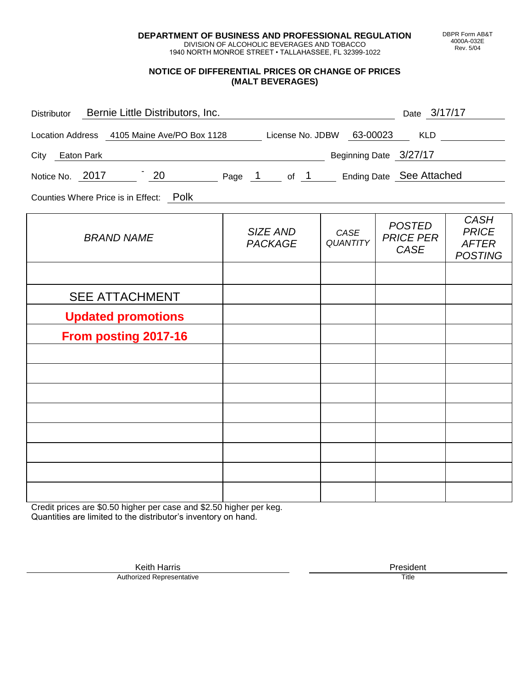**DEPARTMENT OF BUSINESS AND PROFESSIONAL REGULATION** DIVISION OF ALCOHOLIC BEVERAGES AND TOBACCO

1940 NORTH MONROE STREET • TALLAHASSEE, FL 32399-1022

#### **NOTICE OF DIFFERENTIAL PRICES OR CHANGE OF PRICES (MALT BEVERAGES)**

| Distributor Bernie Little Distributors, Inc.                              |                                        |                         | Date 3/17/17                                     |                                                               |
|---------------------------------------------------------------------------|----------------------------------------|-------------------------|--------------------------------------------------|---------------------------------------------------------------|
| Location Address 4105 Maine Ave/PO Box 1128 License No. JDBW 63-00023 KLD |                                        |                         |                                                  |                                                               |
| City Eaton Park                                                           | Example 2027/17 Beginning Date 3/27/17 |                         |                                                  |                                                               |
| Notice No. 2017 20 Page 1 of 1 Ending Date See Attached                   |                                        |                         |                                                  |                                                               |
| Counties Where Price is in Effect: Polk                                   |                                        |                         |                                                  |                                                               |
| <b>BRAND NAME</b>                                                         | SIZE AND<br><b>PACKAGE</b>             | CASE<br><b>QUANTITY</b> | <b>POSTED</b><br><b>PRICE PER</b><br><b>CASE</b> | <b>CASH</b><br><b>PRICE</b><br><b>AFTER</b><br><b>POSTING</b> |
|                                                                           |                                        |                         |                                                  |                                                               |
| <b>SEE ATTACHMENT</b>                                                     |                                        |                         |                                                  |                                                               |
| <b>Updated promotions</b>                                                 |                                        |                         |                                                  |                                                               |
| <b>From posting 2017-16</b>                                               |                                        |                         |                                                  |                                                               |
|                                                                           |                                        |                         |                                                  |                                                               |
|                                                                           |                                        |                         |                                                  |                                                               |
|                                                                           |                                        |                         |                                                  |                                                               |
|                                                                           |                                        |                         |                                                  |                                                               |
|                                                                           |                                        |                         |                                                  |                                                               |
|                                                                           |                                        |                         |                                                  |                                                               |
|                                                                           |                                        |                         |                                                  |                                                               |

Credit prices are \$0.50 higher per case and \$2.50 higher per keg. Quantities are limited to the distributor's inventory on hand.

> Keith Harris **President** President **President** President **President** President **President** Authorized Representative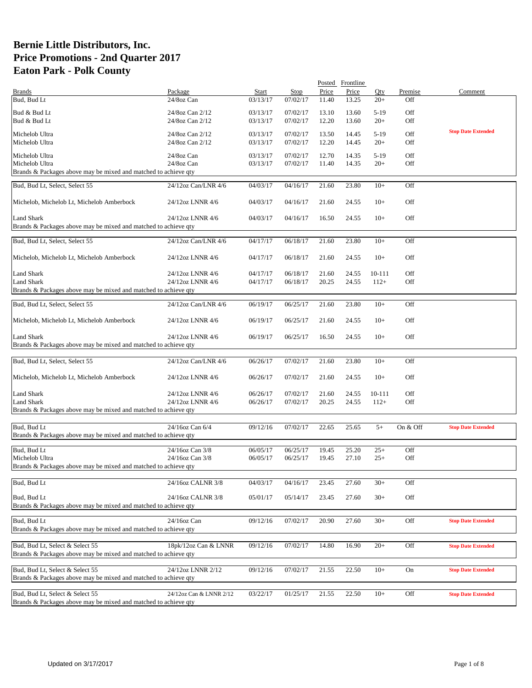|                                                                 |                         |          |             |       | Posted Frontline |        |           |                           |
|-----------------------------------------------------------------|-------------------------|----------|-------------|-------|------------------|--------|-----------|---------------------------|
| <b>Brands</b>                                                   | Package                 | Start    | <b>Stop</b> | Price | Price            | Qty    | Premise   | Comment                   |
| Bud, Bud Lt                                                     | 24/8oz Can              | 03/13/17 | 07/02/17    | 11.40 | 13.25            | $20+$  | Off       |                           |
| Bud & Bud Lt                                                    | 24/8oz Can 2/12         | 03/13/17 | 07/02/17    | 13.10 | 13.60            | $5-19$ | Off       |                           |
| Bud & Bud Lt                                                    | 24/8oz Can 2/12         | 03/13/17 | 07/02/17    | 12.20 | 13.60            | $20+$  | Off       |                           |
|                                                                 |                         |          |             |       |                  |        |           |                           |
| Michelob Ultra                                                  | 24/8oz Can 2/12         | 03/13/17 | 07/02/17    | 13.50 | 14.45            | $5-19$ | Off       | <b>Stop Date Extended</b> |
| Michelob Ultra                                                  | 24/8oz Can 2/12         | 03/13/17 | 07/02/17    | 12.20 | 14.45            | $20+$  | Off       |                           |
|                                                                 |                         |          |             |       |                  |        |           |                           |
| Michelob Ultra                                                  | 24/8oz Can              | 03/13/17 | 07/02/17    | 12.70 | 14.35            | $5-19$ | Off       |                           |
| Michelob Ultra                                                  | 24/8oz Can              | 03/13/17 | 07/02/17    | 11.40 | 14.35            | $20+$  | Off       |                           |
| Brands & Packages above may be mixed and matched to achieve qty |                         |          |             |       |                  |        |           |                           |
| Bud, Bud Lt, Select, Select 55                                  | 24/12oz Can/LNR 4/6     | 04/03/17 | 04/16/17    | 21.60 | 23.80            | $10+$  | Off       |                           |
|                                                                 |                         |          |             |       |                  |        |           |                           |
| Michelob, Michelob Lt, Michelob Amberbock                       | 24/12oz LNNR 4/6        | 04/03/17 | 04/16/17    | 21.60 | 24.55            | $10+$  | Off       |                           |
|                                                                 |                         |          |             |       |                  |        |           |                           |
| Land Shark                                                      | 24/12oz LNNR 4/6        | 04/03/17 | 04/16/17    | 16.50 | 24.55            | $10+$  | Off       |                           |
| Brands & Packages above may be mixed and matched to achieve qty |                         |          |             |       |                  |        |           |                           |
|                                                                 |                         |          |             |       |                  |        |           |                           |
| Bud, Bud Lt, Select, Select 55                                  | 24/12oz Can/LNR 4/6     | 04/17/17 | 06/18/17    | 21.60 | 23.80            | $10+$  | Off       |                           |
|                                                                 |                         |          |             |       |                  |        |           |                           |
| Michelob, Michelob Lt, Michelob Amberbock                       | 24/12oz LNNR 4/6        | 04/17/17 | 06/18/17    | 21.60 | 24.55            | $10+$  | Off       |                           |
|                                                                 |                         |          |             |       |                  |        |           |                           |
| Land Shark                                                      | 24/12oz LNNR 4/6        | 04/17/17 | 06/18/17    | 21.60 | 24.55            | 10-111 | Off       |                           |
| <b>Land Shark</b>                                               | 24/12oz LNNR 4/6        | 04/17/17 | 06/18/17    | 20.25 | 24.55            | $112+$ | Off       |                           |
| Brands & Packages above may be mixed and matched to achieve qty |                         |          |             |       |                  |        |           |                           |
|                                                                 |                         |          |             |       |                  |        |           |                           |
| Bud, Bud Lt, Select, Select 55                                  | 24/12oz Can/LNR 4/6     | 06/19/17 | 06/25/17    | 21.60 | 23.80            | $10+$  | Off       |                           |
|                                                                 |                         |          |             |       |                  |        |           |                           |
| Michelob, Michelob Lt, Michelob Amberbock                       | 24/12oz LNNR 4/6        | 06/19/17 | 06/25/17    | 21.60 | 24.55            | $10+$  | Off       |                           |
|                                                                 |                         |          |             |       |                  |        |           |                           |
| Land Shark                                                      | 24/12oz LNNR 4/6        | 06/19/17 | 06/25/17    | 16.50 | 24.55            | $10+$  | Off       |                           |
| Brands & Packages above may be mixed and matched to achieve qty |                         |          |             |       |                  |        |           |                           |
| Bud, Bud Lt, Select, Select 55                                  | 24/12oz Can/LNR 4/6     | 06/26/17 | 07/02/17    | 21.60 | 23.80            | $10+$  | Off       |                           |
|                                                                 |                         |          |             |       |                  |        |           |                           |
| Michelob, Michelob Lt, Michelob Amberbock                       | 24/12oz LNNR 4/6        | 06/26/17 | 07/02/17    | 21.60 | 24.55            | $10+$  | Off       |                           |
|                                                                 |                         |          |             |       |                  |        |           |                           |
| <b>Land Shark</b>                                               | 24/12oz LNNR 4/6        | 06/26/17 | 07/02/17    | 21.60 | 24.55            | 10-111 | Off       |                           |
| <b>Land Shark</b>                                               | 24/12oz LNNR 4/6        | 06/26/17 | 07/02/17    | 20.25 | 24.55            | $112+$ | Off       |                           |
| Brands & Packages above may be mixed and matched to achieve qty |                         |          |             |       |                  |        |           |                           |
|                                                                 |                         |          |             |       |                  |        |           |                           |
| Bud, Bud Lt                                                     | 24/16oz Can 6/4         | 09/12/16 | 07/02/17    | 22.65 | 25.65            | $5+$   | On & Off  | <b>Stop Date Extended</b> |
| Brands & Packages above may be mixed and matched to achieve qty |                         |          |             |       |                  |        |           |                           |
|                                                                 |                         |          |             |       |                  |        |           |                           |
| Bud, Bud Lt                                                     | 24/16oz Can 3/8         | 06/05/17 | 06/25/17    | 19.45 | 25.20            | $25+$  | Off       |                           |
| Michelob Ultra                                                  | 24/16oz Can 3/8         | 06/05/17 | 06/25/17    | 19.45 | 27.10            | $25+$  | Off       |                           |
| Brands & Packages above may be mixed and matched to achieve qty |                         |          |             |       |                  |        |           |                           |
|                                                                 |                         |          |             |       |                  |        |           |                           |
| Bud, Bud Lt                                                     | 24/16oz CALNR 3/8       | 04/03/17 | 04/16/17    | 23.45 | 27.60            | $30+$  | Off       |                           |
|                                                                 |                         |          |             |       |                  |        |           |                           |
| Bud, Bud Lt                                                     | 24/16oz CALNR 3/8       | 05/01/17 | 05/14/17    | 23.45 | 27.60            | $30+$  | Off       |                           |
| Brands & Packages above may be mixed and matched to achieve gty |                         |          |             |       |                  |        |           |                           |
|                                                                 |                         |          |             |       |                  |        |           |                           |
| Bud, Bud Lt                                                     | 24/16oz Can             | 09/12/16 | 07/02/17    | 20.90 | 27.60            | $30+$  | Off       | <b>Stop Date Extended</b> |
| Brands & Packages above may be mixed and matched to achieve qty |                         |          |             |       |                  |        |           |                           |
|                                                                 |                         |          |             |       |                  |        |           |                           |
| Bud, Bud Lt, Select & Select 55                                 | 18pk/12oz Can & LNNR    | 09/12/16 | 07/02/17    | 14.80 | 16.90            | $20+$  | Off       | <b>Stop Date Extended</b> |
| Brands & Packages above may be mixed and matched to achieve qty |                         |          |             |       |                  |        |           |                           |
|                                                                 |                         |          |             |       |                  |        |           |                           |
| Bud, Bud Lt, Select & Select 55                                 | 24/12oz LNNR 2/12       | 09/12/16 | 07/02/17    | 21.55 | 22.50            | $10+$  | <b>On</b> | <b>Stop Date Extended</b> |
| Brands & Packages above may be mixed and matched to achieve qty |                         |          |             |       |                  |        |           |                           |
| Bud, Bud Lt, Select & Select 55                                 | 24/12oz Can & LNNR 2/12 | 03/22/17 | 01/25/17    | 21.55 | 22.50            | $10+$  | Off       | <b>Stop Date Extended</b> |
| Brands & Packages above may be mixed and matched to achieve qty |                         |          |             |       |                  |        |           |                           |
|                                                                 |                         |          |             |       |                  |        |           |                           |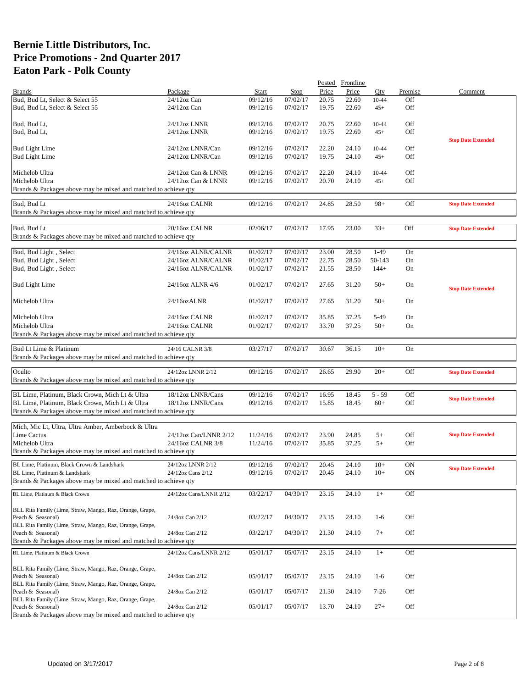| Package<br>Price<br>Start<br><b>Stop</b><br>Price<br>Oty<br>Premise<br>Comment<br><b>Brands</b><br>Bud, Bud Lt, Select & Select 55<br>$24/12$ oz Can<br>09/12/16<br>07/02/17<br>20.75<br>22.60<br>$10 - 44$<br>Off<br>Bud, Bud Lt, Select & Select 55<br>$24/12$ oz Can<br>09/12/16<br>07/02/17<br>19.75<br>22.60<br>Off<br>$45+$<br>07/02/17<br>20.75<br>22.60<br>Off<br>Bud, Bud Lt,<br>24/12oz LNNR<br>09/12/16<br>10-44<br>Off<br>07/02/17<br>Bud, Bud Lt,<br>24/12oz LNNR<br>09/12/16<br>19.75<br>22.60<br>$45+$<br><b>Stop Date Extended</b><br>24/12oz LNNR/Can<br>09/12/16<br>07/02/17<br>22.20<br>24.10<br>10-44<br>Off<br><b>Bud Light Lime</b><br>07/02/17<br>Off<br><b>Bud Light Lime</b><br>24/12oz LNNR/Can<br>09/12/16<br>19.75<br>24.10<br>$45+$<br>07/02/17<br>Off<br>Michelob Ultra<br>24/12oz Can & LNNR<br>09/12/16<br>22.20<br>24.10<br>10-44<br>Michelob Ultra<br>Off<br>24/12oz Can & LNNR<br>09/12/16<br>07/02/17<br>20.70<br>24.10<br>$45+$<br>Brands & Packages above may be mixed and matched to achieve qty<br>Bud, Bud Lt<br>07/02/17<br>Off<br>24/16oz CALNR<br>09/12/16<br>24.85<br>28.50<br>$98+$<br><b>Stop Date Extended</b><br>Brands & Packages above may be mixed and matched to achieve qty<br>Bud, Bud Lt<br>07/02/17<br>20/16oz CALNR<br>02/06/17<br>17.95<br>23.00<br>$33+$<br>Off<br><b>Stop Date Extended</b><br>Brands & Packages above may be mixed and matched to achieve qty<br>07/02/17<br>$1-49$<br>Bud, Bud Light, Select<br>24/16oz ALNR/CALNR<br>23.00<br>28.50<br>On<br>01/02/17<br>Bud, Bud Light, Select<br>24/16oz ALNR/CALNR<br>01/02/17<br>07/02/17<br>22.75<br>28.50<br>50-143<br>On<br>Bud, Bud Light, Select<br>07/02/17<br>24/16oz ALNR/CALNR<br>01/02/17<br>21.55<br>28.50<br>$144+$<br>On<br><b>Bud Light Lime</b><br>24/16oz ALNR 4/6<br>01/02/17<br>07/02/17<br>27.65<br>31.20<br>$50+$<br>On<br><b>Stop Date Extended</b><br>07/02/17<br>Michelob Ultra<br>24/16ozALNR<br>01/02/17<br>27.65<br>31.20<br>$50+$<br>On<br>07/02/17<br>Michelob Ultra<br>24/16oz CALNR<br>01/02/17<br>35.85<br>37.25<br>5-49<br>On<br>Michelob Ultra<br>24/16oz CALNR<br>01/02/17<br>07/02/17<br>33.70<br>37.25<br>$50+$<br>On<br>Brands & Packages above may be mixed and matched to achieve qty<br>Bud Lt Lime & Platinum<br>03/27/17<br>07/02/17<br>30.67<br>36.15<br>$10+$<br>On<br>24/16 CALNR 3/8<br>Brands & Packages above may be mixed and matched to achieve qty<br>07/02/17<br>Off<br>24/12oz LNNR 2/12<br>09/12/16<br>26.65<br>29.90<br>$20+$<br>Oculto<br><b>Stop Date Extended</b><br>Brands & Packages above may be mixed and matched to achieve qty<br>BL Lime, Platinum, Black Crown, Mich Lt & Ultra<br>18/12oz LNNR/Cans<br>09/12/16<br>07/02/17<br>16.95<br>18.45<br>$5 - 59$<br>Off<br><b>Stop Date Extended</b><br>BL Lime, Platinum, Black Crown, Mich Lt & Ultra<br>18/12oz LNNR/Cans<br>07/02/17<br>18.45<br>$60+$<br>Off<br>09/12/16<br>15.85<br>Brands & Packages above may be mixed and matched to achieve qty<br>Mich, Mic Lt, Ultra, Ultra Amber, Amberbock & Ultra<br><b>Lime Cactus</b><br><b>Stop Date Extended</b><br>24/12oz Can/LNNR 2/12<br>$5+$<br>Off<br>11/24/16<br>07/02/17<br>23.90<br>24.85<br>Michelob Ultra<br>37.25<br>$5+$<br>Off<br>24/16oz CALNR 3/8<br>11/24/16<br>07/02/17<br>35.85<br>Brands & Packages above may be mixed and matched to achieve qty<br>07/02/17<br>09/12/16<br>20.45<br>24.10<br>$10+$<br><b>ON</b><br>BL Lime, Platinum, Black Crown & Landshark<br>24/12oz LNNR 2/12<br><b>Stop Date Extended</b><br>BL Lime, Platinum & Landshark<br>24/12oz Cans 2/12<br>09/12/16<br>07/02/17<br>20.45<br>24.10<br>$10+$<br>ON<br>Brands & Packages above may be mixed and matched to achieve qty<br>03/22/17<br>04/30/17<br>23.15<br>24.10<br>Off<br>BL Lime, Platinum & Black Crown<br>$1+$<br>24/12oz Cans/LNNR 2/12<br>BLL Rita Family (Lime, Straw, Mango, Raz, Orange, Grape,<br>Off<br>Peach & Seasonal)<br>24/8oz Can 2/12<br>03/22/17<br>04/30/17<br>23.15<br>24.10<br>$1-6$<br>BLL Rita Family (Lime, Straw, Mango, Raz, Orange, Grape,<br>24/8oz Can 2/12<br>Off<br>Peach & Seasonal)<br>03/22/17<br>04/30/17<br>21.30<br>24.10<br>$7+$<br>Brands & Packages above may be mixed and matched to achieve qty<br>24/12oz Cans/LNNR 2/12<br>05/07/17<br>23.15<br>24.10<br>Off<br>BL Lime, Platinum & Black Crown<br>05/01/17<br>$1+$<br>BLL Rita Family (Lime, Straw, Mango, Raz, Orange, Grape,<br>24/8oz Can 2/12<br>Off<br>Peach & Seasonal)<br>05/01/17<br>05/07/17<br>23.15<br>24.10<br>$1-6$<br>BLL Rita Family (Lime, Straw, Mango, Raz, Orange, Grape,<br>Peach & Seasonal)<br>24/8oz Can 2/12<br>Off<br>05/01/17<br>05/07/17<br>21.30<br>24.10<br>$7-26$<br>BLL Rita Family (Lime, Straw, Mango, Raz, Orange, Grape,<br>Peach & Seasonal)<br>24/8oz Can 2/12<br>Off<br>05/01/17<br>05/07/17<br>13.70<br>24.10<br>$27+$<br>Brands & Packages above may be mixed and matched to achieve qty |  |  | Posted Frontline |  |  |
|--------------------------------------------------------------------------------------------------------------------------------------------------------------------------------------------------------------------------------------------------------------------------------------------------------------------------------------------------------------------------------------------------------------------------------------------------------------------------------------------------------------------------------------------------------------------------------------------------------------------------------------------------------------------------------------------------------------------------------------------------------------------------------------------------------------------------------------------------------------------------------------------------------------------------------------------------------------------------------------------------------------------------------------------------------------------------------------------------------------------------------------------------------------------------------------------------------------------------------------------------------------------------------------------------------------------------------------------------------------------------------------------------------------------------------------------------------------------------------------------------------------------------------------------------------------------------------------------------------------------------------------------------------------------------------------------------------------------------------------------------------------------------------------------------------------------------------------------------------------------------------------------------------------------------------------------------------------------------------------------------------------------------------------------------------------------------------------------------------------------------------------------------------------------------------------------------------------------------------------------------------------------------------------------------------------------------------------------------------------------------------------------------------------------------------------------------------------------------------------------------------------------------------------------------------------------------------------------------------------------------------------------------------------------------------------------------------------------------------------------------------------------------------------------------------------------------------------------------------------------------------------------------------------------------------------------------------------------------------------------------------------------------------------------------------------------------------------------------------------------------------------------------------------------------------------------------------------------------------------------------------------------------------------------------------------------------------------------------------------------------------------------------------------------------------------------------------------------------------------------------------------------------------------------------------------------------------------------------------------------------------------------------------------------------------------------------------------------------------------------------------------------------------------------------------------------------------------------------------------------------------------------------------------------------------------------------------------------------------------------------------------------------------------------------------------------------------------------------------------------------------------------------------------------------------------------------------------------------------------------------------------------------------------------------------------------------------------------------------------------------------------------------------------------------------------------------------------------------------------------------------------------------------------------------------------------------------------------------------------------------------------------------------------------------------------------------------------------------------------------------------------------------------------------------------------------------------------------------------------------------------------------------------------------|--|--|------------------|--|--|
|                                                                                                                                                                                                                                                                                                                                                                                                                                                                                                                                                                                                                                                                                                                                                                                                                                                                                                                                                                                                                                                                                                                                                                                                                                                                                                                                                                                                                                                                                                                                                                                                                                                                                                                                                                                                                                                                                                                                                                                                                                                                                                                                                                                                                                                                                                                                                                                                                                                                                                                                                                                                                                                                                                                                                                                                                                                                                                                                                                                                                                                                                                                                                                                                                                                                                                                                                                                                                                                                                                                                                                                                                                                                                                                                                                                                                                                                                                                                                                                                                                                                                                                                                                                                                                                                                                                                                                                                                                                                                                                                                                                                                                                                                                                                                                                                                                                                                                                    |  |  |                  |  |  |
|                                                                                                                                                                                                                                                                                                                                                                                                                                                                                                                                                                                                                                                                                                                                                                                                                                                                                                                                                                                                                                                                                                                                                                                                                                                                                                                                                                                                                                                                                                                                                                                                                                                                                                                                                                                                                                                                                                                                                                                                                                                                                                                                                                                                                                                                                                                                                                                                                                                                                                                                                                                                                                                                                                                                                                                                                                                                                                                                                                                                                                                                                                                                                                                                                                                                                                                                                                                                                                                                                                                                                                                                                                                                                                                                                                                                                                                                                                                                                                                                                                                                                                                                                                                                                                                                                                                                                                                                                                                                                                                                                                                                                                                                                                                                                                                                                                                                                                                    |  |  |                  |  |  |
|                                                                                                                                                                                                                                                                                                                                                                                                                                                                                                                                                                                                                                                                                                                                                                                                                                                                                                                                                                                                                                                                                                                                                                                                                                                                                                                                                                                                                                                                                                                                                                                                                                                                                                                                                                                                                                                                                                                                                                                                                                                                                                                                                                                                                                                                                                                                                                                                                                                                                                                                                                                                                                                                                                                                                                                                                                                                                                                                                                                                                                                                                                                                                                                                                                                                                                                                                                                                                                                                                                                                                                                                                                                                                                                                                                                                                                                                                                                                                                                                                                                                                                                                                                                                                                                                                                                                                                                                                                                                                                                                                                                                                                                                                                                                                                                                                                                                                                                    |  |  |                  |  |  |
|                                                                                                                                                                                                                                                                                                                                                                                                                                                                                                                                                                                                                                                                                                                                                                                                                                                                                                                                                                                                                                                                                                                                                                                                                                                                                                                                                                                                                                                                                                                                                                                                                                                                                                                                                                                                                                                                                                                                                                                                                                                                                                                                                                                                                                                                                                                                                                                                                                                                                                                                                                                                                                                                                                                                                                                                                                                                                                                                                                                                                                                                                                                                                                                                                                                                                                                                                                                                                                                                                                                                                                                                                                                                                                                                                                                                                                                                                                                                                                                                                                                                                                                                                                                                                                                                                                                                                                                                                                                                                                                                                                                                                                                                                                                                                                                                                                                                                                                    |  |  |                  |  |  |
|                                                                                                                                                                                                                                                                                                                                                                                                                                                                                                                                                                                                                                                                                                                                                                                                                                                                                                                                                                                                                                                                                                                                                                                                                                                                                                                                                                                                                                                                                                                                                                                                                                                                                                                                                                                                                                                                                                                                                                                                                                                                                                                                                                                                                                                                                                                                                                                                                                                                                                                                                                                                                                                                                                                                                                                                                                                                                                                                                                                                                                                                                                                                                                                                                                                                                                                                                                                                                                                                                                                                                                                                                                                                                                                                                                                                                                                                                                                                                                                                                                                                                                                                                                                                                                                                                                                                                                                                                                                                                                                                                                                                                                                                                                                                                                                                                                                                                                                    |  |  |                  |  |  |
|                                                                                                                                                                                                                                                                                                                                                                                                                                                                                                                                                                                                                                                                                                                                                                                                                                                                                                                                                                                                                                                                                                                                                                                                                                                                                                                                                                                                                                                                                                                                                                                                                                                                                                                                                                                                                                                                                                                                                                                                                                                                                                                                                                                                                                                                                                                                                                                                                                                                                                                                                                                                                                                                                                                                                                                                                                                                                                                                                                                                                                                                                                                                                                                                                                                                                                                                                                                                                                                                                                                                                                                                                                                                                                                                                                                                                                                                                                                                                                                                                                                                                                                                                                                                                                                                                                                                                                                                                                                                                                                                                                                                                                                                                                                                                                                                                                                                                                                    |  |  |                  |  |  |
|                                                                                                                                                                                                                                                                                                                                                                                                                                                                                                                                                                                                                                                                                                                                                                                                                                                                                                                                                                                                                                                                                                                                                                                                                                                                                                                                                                                                                                                                                                                                                                                                                                                                                                                                                                                                                                                                                                                                                                                                                                                                                                                                                                                                                                                                                                                                                                                                                                                                                                                                                                                                                                                                                                                                                                                                                                                                                                                                                                                                                                                                                                                                                                                                                                                                                                                                                                                                                                                                                                                                                                                                                                                                                                                                                                                                                                                                                                                                                                                                                                                                                                                                                                                                                                                                                                                                                                                                                                                                                                                                                                                                                                                                                                                                                                                                                                                                                                                    |  |  |                  |  |  |
|                                                                                                                                                                                                                                                                                                                                                                                                                                                                                                                                                                                                                                                                                                                                                                                                                                                                                                                                                                                                                                                                                                                                                                                                                                                                                                                                                                                                                                                                                                                                                                                                                                                                                                                                                                                                                                                                                                                                                                                                                                                                                                                                                                                                                                                                                                                                                                                                                                                                                                                                                                                                                                                                                                                                                                                                                                                                                                                                                                                                                                                                                                                                                                                                                                                                                                                                                                                                                                                                                                                                                                                                                                                                                                                                                                                                                                                                                                                                                                                                                                                                                                                                                                                                                                                                                                                                                                                                                                                                                                                                                                                                                                                                                                                                                                                                                                                                                                                    |  |  |                  |  |  |
|                                                                                                                                                                                                                                                                                                                                                                                                                                                                                                                                                                                                                                                                                                                                                                                                                                                                                                                                                                                                                                                                                                                                                                                                                                                                                                                                                                                                                                                                                                                                                                                                                                                                                                                                                                                                                                                                                                                                                                                                                                                                                                                                                                                                                                                                                                                                                                                                                                                                                                                                                                                                                                                                                                                                                                                                                                                                                                                                                                                                                                                                                                                                                                                                                                                                                                                                                                                                                                                                                                                                                                                                                                                                                                                                                                                                                                                                                                                                                                                                                                                                                                                                                                                                                                                                                                                                                                                                                                                                                                                                                                                                                                                                                                                                                                                                                                                                                                                    |  |  |                  |  |  |
|                                                                                                                                                                                                                                                                                                                                                                                                                                                                                                                                                                                                                                                                                                                                                                                                                                                                                                                                                                                                                                                                                                                                                                                                                                                                                                                                                                                                                                                                                                                                                                                                                                                                                                                                                                                                                                                                                                                                                                                                                                                                                                                                                                                                                                                                                                                                                                                                                                                                                                                                                                                                                                                                                                                                                                                                                                                                                                                                                                                                                                                                                                                                                                                                                                                                                                                                                                                                                                                                                                                                                                                                                                                                                                                                                                                                                                                                                                                                                                                                                                                                                                                                                                                                                                                                                                                                                                                                                                                                                                                                                                                                                                                                                                                                                                                                                                                                                                                    |  |  |                  |  |  |
|                                                                                                                                                                                                                                                                                                                                                                                                                                                                                                                                                                                                                                                                                                                                                                                                                                                                                                                                                                                                                                                                                                                                                                                                                                                                                                                                                                                                                                                                                                                                                                                                                                                                                                                                                                                                                                                                                                                                                                                                                                                                                                                                                                                                                                                                                                                                                                                                                                                                                                                                                                                                                                                                                                                                                                                                                                                                                                                                                                                                                                                                                                                                                                                                                                                                                                                                                                                                                                                                                                                                                                                                                                                                                                                                                                                                                                                                                                                                                                                                                                                                                                                                                                                                                                                                                                                                                                                                                                                                                                                                                                                                                                                                                                                                                                                                                                                                                                                    |  |  |                  |  |  |
|                                                                                                                                                                                                                                                                                                                                                                                                                                                                                                                                                                                                                                                                                                                                                                                                                                                                                                                                                                                                                                                                                                                                                                                                                                                                                                                                                                                                                                                                                                                                                                                                                                                                                                                                                                                                                                                                                                                                                                                                                                                                                                                                                                                                                                                                                                                                                                                                                                                                                                                                                                                                                                                                                                                                                                                                                                                                                                                                                                                                                                                                                                                                                                                                                                                                                                                                                                                                                                                                                                                                                                                                                                                                                                                                                                                                                                                                                                                                                                                                                                                                                                                                                                                                                                                                                                                                                                                                                                                                                                                                                                                                                                                                                                                                                                                                                                                                                                                    |  |  |                  |  |  |
|                                                                                                                                                                                                                                                                                                                                                                                                                                                                                                                                                                                                                                                                                                                                                                                                                                                                                                                                                                                                                                                                                                                                                                                                                                                                                                                                                                                                                                                                                                                                                                                                                                                                                                                                                                                                                                                                                                                                                                                                                                                                                                                                                                                                                                                                                                                                                                                                                                                                                                                                                                                                                                                                                                                                                                                                                                                                                                                                                                                                                                                                                                                                                                                                                                                                                                                                                                                                                                                                                                                                                                                                                                                                                                                                                                                                                                                                                                                                                                                                                                                                                                                                                                                                                                                                                                                                                                                                                                                                                                                                                                                                                                                                                                                                                                                                                                                                                                                    |  |  |                  |  |  |
|                                                                                                                                                                                                                                                                                                                                                                                                                                                                                                                                                                                                                                                                                                                                                                                                                                                                                                                                                                                                                                                                                                                                                                                                                                                                                                                                                                                                                                                                                                                                                                                                                                                                                                                                                                                                                                                                                                                                                                                                                                                                                                                                                                                                                                                                                                                                                                                                                                                                                                                                                                                                                                                                                                                                                                                                                                                                                                                                                                                                                                                                                                                                                                                                                                                                                                                                                                                                                                                                                                                                                                                                                                                                                                                                                                                                                                                                                                                                                                                                                                                                                                                                                                                                                                                                                                                                                                                                                                                                                                                                                                                                                                                                                                                                                                                                                                                                                                                    |  |  |                  |  |  |
|                                                                                                                                                                                                                                                                                                                                                                                                                                                                                                                                                                                                                                                                                                                                                                                                                                                                                                                                                                                                                                                                                                                                                                                                                                                                                                                                                                                                                                                                                                                                                                                                                                                                                                                                                                                                                                                                                                                                                                                                                                                                                                                                                                                                                                                                                                                                                                                                                                                                                                                                                                                                                                                                                                                                                                                                                                                                                                                                                                                                                                                                                                                                                                                                                                                                                                                                                                                                                                                                                                                                                                                                                                                                                                                                                                                                                                                                                                                                                                                                                                                                                                                                                                                                                                                                                                                                                                                                                                                                                                                                                                                                                                                                                                                                                                                                                                                                                                                    |  |  |                  |  |  |
|                                                                                                                                                                                                                                                                                                                                                                                                                                                                                                                                                                                                                                                                                                                                                                                                                                                                                                                                                                                                                                                                                                                                                                                                                                                                                                                                                                                                                                                                                                                                                                                                                                                                                                                                                                                                                                                                                                                                                                                                                                                                                                                                                                                                                                                                                                                                                                                                                                                                                                                                                                                                                                                                                                                                                                                                                                                                                                                                                                                                                                                                                                                                                                                                                                                                                                                                                                                                                                                                                                                                                                                                                                                                                                                                                                                                                                                                                                                                                                                                                                                                                                                                                                                                                                                                                                                                                                                                                                                                                                                                                                                                                                                                                                                                                                                                                                                                                                                    |  |  |                  |  |  |
|                                                                                                                                                                                                                                                                                                                                                                                                                                                                                                                                                                                                                                                                                                                                                                                                                                                                                                                                                                                                                                                                                                                                                                                                                                                                                                                                                                                                                                                                                                                                                                                                                                                                                                                                                                                                                                                                                                                                                                                                                                                                                                                                                                                                                                                                                                                                                                                                                                                                                                                                                                                                                                                                                                                                                                                                                                                                                                                                                                                                                                                                                                                                                                                                                                                                                                                                                                                                                                                                                                                                                                                                                                                                                                                                                                                                                                                                                                                                                                                                                                                                                                                                                                                                                                                                                                                                                                                                                                                                                                                                                                                                                                                                                                                                                                                                                                                                                                                    |  |  |                  |  |  |
|                                                                                                                                                                                                                                                                                                                                                                                                                                                                                                                                                                                                                                                                                                                                                                                                                                                                                                                                                                                                                                                                                                                                                                                                                                                                                                                                                                                                                                                                                                                                                                                                                                                                                                                                                                                                                                                                                                                                                                                                                                                                                                                                                                                                                                                                                                                                                                                                                                                                                                                                                                                                                                                                                                                                                                                                                                                                                                                                                                                                                                                                                                                                                                                                                                                                                                                                                                                                                                                                                                                                                                                                                                                                                                                                                                                                                                                                                                                                                                                                                                                                                                                                                                                                                                                                                                                                                                                                                                                                                                                                                                                                                                                                                                                                                                                                                                                                                                                    |  |  |                  |  |  |
|                                                                                                                                                                                                                                                                                                                                                                                                                                                                                                                                                                                                                                                                                                                                                                                                                                                                                                                                                                                                                                                                                                                                                                                                                                                                                                                                                                                                                                                                                                                                                                                                                                                                                                                                                                                                                                                                                                                                                                                                                                                                                                                                                                                                                                                                                                                                                                                                                                                                                                                                                                                                                                                                                                                                                                                                                                                                                                                                                                                                                                                                                                                                                                                                                                                                                                                                                                                                                                                                                                                                                                                                                                                                                                                                                                                                                                                                                                                                                                                                                                                                                                                                                                                                                                                                                                                                                                                                                                                                                                                                                                                                                                                                                                                                                                                                                                                                                                                    |  |  |                  |  |  |
|                                                                                                                                                                                                                                                                                                                                                                                                                                                                                                                                                                                                                                                                                                                                                                                                                                                                                                                                                                                                                                                                                                                                                                                                                                                                                                                                                                                                                                                                                                                                                                                                                                                                                                                                                                                                                                                                                                                                                                                                                                                                                                                                                                                                                                                                                                                                                                                                                                                                                                                                                                                                                                                                                                                                                                                                                                                                                                                                                                                                                                                                                                                                                                                                                                                                                                                                                                                                                                                                                                                                                                                                                                                                                                                                                                                                                                                                                                                                                                                                                                                                                                                                                                                                                                                                                                                                                                                                                                                                                                                                                                                                                                                                                                                                                                                                                                                                                                                    |  |  |                  |  |  |
|                                                                                                                                                                                                                                                                                                                                                                                                                                                                                                                                                                                                                                                                                                                                                                                                                                                                                                                                                                                                                                                                                                                                                                                                                                                                                                                                                                                                                                                                                                                                                                                                                                                                                                                                                                                                                                                                                                                                                                                                                                                                                                                                                                                                                                                                                                                                                                                                                                                                                                                                                                                                                                                                                                                                                                                                                                                                                                                                                                                                                                                                                                                                                                                                                                                                                                                                                                                                                                                                                                                                                                                                                                                                                                                                                                                                                                                                                                                                                                                                                                                                                                                                                                                                                                                                                                                                                                                                                                                                                                                                                                                                                                                                                                                                                                                                                                                                                                                    |  |  |                  |  |  |
|                                                                                                                                                                                                                                                                                                                                                                                                                                                                                                                                                                                                                                                                                                                                                                                                                                                                                                                                                                                                                                                                                                                                                                                                                                                                                                                                                                                                                                                                                                                                                                                                                                                                                                                                                                                                                                                                                                                                                                                                                                                                                                                                                                                                                                                                                                                                                                                                                                                                                                                                                                                                                                                                                                                                                                                                                                                                                                                                                                                                                                                                                                                                                                                                                                                                                                                                                                                                                                                                                                                                                                                                                                                                                                                                                                                                                                                                                                                                                                                                                                                                                                                                                                                                                                                                                                                                                                                                                                                                                                                                                                                                                                                                                                                                                                                                                                                                                                                    |  |  |                  |  |  |
|                                                                                                                                                                                                                                                                                                                                                                                                                                                                                                                                                                                                                                                                                                                                                                                                                                                                                                                                                                                                                                                                                                                                                                                                                                                                                                                                                                                                                                                                                                                                                                                                                                                                                                                                                                                                                                                                                                                                                                                                                                                                                                                                                                                                                                                                                                                                                                                                                                                                                                                                                                                                                                                                                                                                                                                                                                                                                                                                                                                                                                                                                                                                                                                                                                                                                                                                                                                                                                                                                                                                                                                                                                                                                                                                                                                                                                                                                                                                                                                                                                                                                                                                                                                                                                                                                                                                                                                                                                                                                                                                                                                                                                                                                                                                                                                                                                                                                                                    |  |  |                  |  |  |
|                                                                                                                                                                                                                                                                                                                                                                                                                                                                                                                                                                                                                                                                                                                                                                                                                                                                                                                                                                                                                                                                                                                                                                                                                                                                                                                                                                                                                                                                                                                                                                                                                                                                                                                                                                                                                                                                                                                                                                                                                                                                                                                                                                                                                                                                                                                                                                                                                                                                                                                                                                                                                                                                                                                                                                                                                                                                                                                                                                                                                                                                                                                                                                                                                                                                                                                                                                                                                                                                                                                                                                                                                                                                                                                                                                                                                                                                                                                                                                                                                                                                                                                                                                                                                                                                                                                                                                                                                                                                                                                                                                                                                                                                                                                                                                                                                                                                                                                    |  |  |                  |  |  |
|                                                                                                                                                                                                                                                                                                                                                                                                                                                                                                                                                                                                                                                                                                                                                                                                                                                                                                                                                                                                                                                                                                                                                                                                                                                                                                                                                                                                                                                                                                                                                                                                                                                                                                                                                                                                                                                                                                                                                                                                                                                                                                                                                                                                                                                                                                                                                                                                                                                                                                                                                                                                                                                                                                                                                                                                                                                                                                                                                                                                                                                                                                                                                                                                                                                                                                                                                                                                                                                                                                                                                                                                                                                                                                                                                                                                                                                                                                                                                                                                                                                                                                                                                                                                                                                                                                                                                                                                                                                                                                                                                                                                                                                                                                                                                                                                                                                                                                                    |  |  |                  |  |  |
|                                                                                                                                                                                                                                                                                                                                                                                                                                                                                                                                                                                                                                                                                                                                                                                                                                                                                                                                                                                                                                                                                                                                                                                                                                                                                                                                                                                                                                                                                                                                                                                                                                                                                                                                                                                                                                                                                                                                                                                                                                                                                                                                                                                                                                                                                                                                                                                                                                                                                                                                                                                                                                                                                                                                                                                                                                                                                                                                                                                                                                                                                                                                                                                                                                                                                                                                                                                                                                                                                                                                                                                                                                                                                                                                                                                                                                                                                                                                                                                                                                                                                                                                                                                                                                                                                                                                                                                                                                                                                                                                                                                                                                                                                                                                                                                                                                                                                                                    |  |  |                  |  |  |
|                                                                                                                                                                                                                                                                                                                                                                                                                                                                                                                                                                                                                                                                                                                                                                                                                                                                                                                                                                                                                                                                                                                                                                                                                                                                                                                                                                                                                                                                                                                                                                                                                                                                                                                                                                                                                                                                                                                                                                                                                                                                                                                                                                                                                                                                                                                                                                                                                                                                                                                                                                                                                                                                                                                                                                                                                                                                                                                                                                                                                                                                                                                                                                                                                                                                                                                                                                                                                                                                                                                                                                                                                                                                                                                                                                                                                                                                                                                                                                                                                                                                                                                                                                                                                                                                                                                                                                                                                                                                                                                                                                                                                                                                                                                                                                                                                                                                                                                    |  |  |                  |  |  |
|                                                                                                                                                                                                                                                                                                                                                                                                                                                                                                                                                                                                                                                                                                                                                                                                                                                                                                                                                                                                                                                                                                                                                                                                                                                                                                                                                                                                                                                                                                                                                                                                                                                                                                                                                                                                                                                                                                                                                                                                                                                                                                                                                                                                                                                                                                                                                                                                                                                                                                                                                                                                                                                                                                                                                                                                                                                                                                                                                                                                                                                                                                                                                                                                                                                                                                                                                                                                                                                                                                                                                                                                                                                                                                                                                                                                                                                                                                                                                                                                                                                                                                                                                                                                                                                                                                                                                                                                                                                                                                                                                                                                                                                                                                                                                                                                                                                                                                                    |  |  |                  |  |  |
|                                                                                                                                                                                                                                                                                                                                                                                                                                                                                                                                                                                                                                                                                                                                                                                                                                                                                                                                                                                                                                                                                                                                                                                                                                                                                                                                                                                                                                                                                                                                                                                                                                                                                                                                                                                                                                                                                                                                                                                                                                                                                                                                                                                                                                                                                                                                                                                                                                                                                                                                                                                                                                                                                                                                                                                                                                                                                                                                                                                                                                                                                                                                                                                                                                                                                                                                                                                                                                                                                                                                                                                                                                                                                                                                                                                                                                                                                                                                                                                                                                                                                                                                                                                                                                                                                                                                                                                                                                                                                                                                                                                                                                                                                                                                                                                                                                                                                                                    |  |  |                  |  |  |
|                                                                                                                                                                                                                                                                                                                                                                                                                                                                                                                                                                                                                                                                                                                                                                                                                                                                                                                                                                                                                                                                                                                                                                                                                                                                                                                                                                                                                                                                                                                                                                                                                                                                                                                                                                                                                                                                                                                                                                                                                                                                                                                                                                                                                                                                                                                                                                                                                                                                                                                                                                                                                                                                                                                                                                                                                                                                                                                                                                                                                                                                                                                                                                                                                                                                                                                                                                                                                                                                                                                                                                                                                                                                                                                                                                                                                                                                                                                                                                                                                                                                                                                                                                                                                                                                                                                                                                                                                                                                                                                                                                                                                                                                                                                                                                                                                                                                                                                    |  |  |                  |  |  |
|                                                                                                                                                                                                                                                                                                                                                                                                                                                                                                                                                                                                                                                                                                                                                                                                                                                                                                                                                                                                                                                                                                                                                                                                                                                                                                                                                                                                                                                                                                                                                                                                                                                                                                                                                                                                                                                                                                                                                                                                                                                                                                                                                                                                                                                                                                                                                                                                                                                                                                                                                                                                                                                                                                                                                                                                                                                                                                                                                                                                                                                                                                                                                                                                                                                                                                                                                                                                                                                                                                                                                                                                                                                                                                                                                                                                                                                                                                                                                                                                                                                                                                                                                                                                                                                                                                                                                                                                                                                                                                                                                                                                                                                                                                                                                                                                                                                                                                                    |  |  |                  |  |  |
|                                                                                                                                                                                                                                                                                                                                                                                                                                                                                                                                                                                                                                                                                                                                                                                                                                                                                                                                                                                                                                                                                                                                                                                                                                                                                                                                                                                                                                                                                                                                                                                                                                                                                                                                                                                                                                                                                                                                                                                                                                                                                                                                                                                                                                                                                                                                                                                                                                                                                                                                                                                                                                                                                                                                                                                                                                                                                                                                                                                                                                                                                                                                                                                                                                                                                                                                                                                                                                                                                                                                                                                                                                                                                                                                                                                                                                                                                                                                                                                                                                                                                                                                                                                                                                                                                                                                                                                                                                                                                                                                                                                                                                                                                                                                                                                                                                                                                                                    |  |  |                  |  |  |
|                                                                                                                                                                                                                                                                                                                                                                                                                                                                                                                                                                                                                                                                                                                                                                                                                                                                                                                                                                                                                                                                                                                                                                                                                                                                                                                                                                                                                                                                                                                                                                                                                                                                                                                                                                                                                                                                                                                                                                                                                                                                                                                                                                                                                                                                                                                                                                                                                                                                                                                                                                                                                                                                                                                                                                                                                                                                                                                                                                                                                                                                                                                                                                                                                                                                                                                                                                                                                                                                                                                                                                                                                                                                                                                                                                                                                                                                                                                                                                                                                                                                                                                                                                                                                                                                                                                                                                                                                                                                                                                                                                                                                                                                                                                                                                                                                                                                                                                    |  |  |                  |  |  |
|                                                                                                                                                                                                                                                                                                                                                                                                                                                                                                                                                                                                                                                                                                                                                                                                                                                                                                                                                                                                                                                                                                                                                                                                                                                                                                                                                                                                                                                                                                                                                                                                                                                                                                                                                                                                                                                                                                                                                                                                                                                                                                                                                                                                                                                                                                                                                                                                                                                                                                                                                                                                                                                                                                                                                                                                                                                                                                                                                                                                                                                                                                                                                                                                                                                                                                                                                                                                                                                                                                                                                                                                                                                                                                                                                                                                                                                                                                                                                                                                                                                                                                                                                                                                                                                                                                                                                                                                                                                                                                                                                                                                                                                                                                                                                                                                                                                                                                                    |  |  |                  |  |  |
|                                                                                                                                                                                                                                                                                                                                                                                                                                                                                                                                                                                                                                                                                                                                                                                                                                                                                                                                                                                                                                                                                                                                                                                                                                                                                                                                                                                                                                                                                                                                                                                                                                                                                                                                                                                                                                                                                                                                                                                                                                                                                                                                                                                                                                                                                                                                                                                                                                                                                                                                                                                                                                                                                                                                                                                                                                                                                                                                                                                                                                                                                                                                                                                                                                                                                                                                                                                                                                                                                                                                                                                                                                                                                                                                                                                                                                                                                                                                                                                                                                                                                                                                                                                                                                                                                                                                                                                                                                                                                                                                                                                                                                                                                                                                                                                                                                                                                                                    |  |  |                  |  |  |
|                                                                                                                                                                                                                                                                                                                                                                                                                                                                                                                                                                                                                                                                                                                                                                                                                                                                                                                                                                                                                                                                                                                                                                                                                                                                                                                                                                                                                                                                                                                                                                                                                                                                                                                                                                                                                                                                                                                                                                                                                                                                                                                                                                                                                                                                                                                                                                                                                                                                                                                                                                                                                                                                                                                                                                                                                                                                                                                                                                                                                                                                                                                                                                                                                                                                                                                                                                                                                                                                                                                                                                                                                                                                                                                                                                                                                                                                                                                                                                                                                                                                                                                                                                                                                                                                                                                                                                                                                                                                                                                                                                                                                                                                                                                                                                                                                                                                                                                    |  |  |                  |  |  |
|                                                                                                                                                                                                                                                                                                                                                                                                                                                                                                                                                                                                                                                                                                                                                                                                                                                                                                                                                                                                                                                                                                                                                                                                                                                                                                                                                                                                                                                                                                                                                                                                                                                                                                                                                                                                                                                                                                                                                                                                                                                                                                                                                                                                                                                                                                                                                                                                                                                                                                                                                                                                                                                                                                                                                                                                                                                                                                                                                                                                                                                                                                                                                                                                                                                                                                                                                                                                                                                                                                                                                                                                                                                                                                                                                                                                                                                                                                                                                                                                                                                                                                                                                                                                                                                                                                                                                                                                                                                                                                                                                                                                                                                                                                                                                                                                                                                                                                                    |  |  |                  |  |  |
|                                                                                                                                                                                                                                                                                                                                                                                                                                                                                                                                                                                                                                                                                                                                                                                                                                                                                                                                                                                                                                                                                                                                                                                                                                                                                                                                                                                                                                                                                                                                                                                                                                                                                                                                                                                                                                                                                                                                                                                                                                                                                                                                                                                                                                                                                                                                                                                                                                                                                                                                                                                                                                                                                                                                                                                                                                                                                                                                                                                                                                                                                                                                                                                                                                                                                                                                                                                                                                                                                                                                                                                                                                                                                                                                                                                                                                                                                                                                                                                                                                                                                                                                                                                                                                                                                                                                                                                                                                                                                                                                                                                                                                                                                                                                                                                                                                                                                                                    |  |  |                  |  |  |
|                                                                                                                                                                                                                                                                                                                                                                                                                                                                                                                                                                                                                                                                                                                                                                                                                                                                                                                                                                                                                                                                                                                                                                                                                                                                                                                                                                                                                                                                                                                                                                                                                                                                                                                                                                                                                                                                                                                                                                                                                                                                                                                                                                                                                                                                                                                                                                                                                                                                                                                                                                                                                                                                                                                                                                                                                                                                                                                                                                                                                                                                                                                                                                                                                                                                                                                                                                                                                                                                                                                                                                                                                                                                                                                                                                                                                                                                                                                                                                                                                                                                                                                                                                                                                                                                                                                                                                                                                                                                                                                                                                                                                                                                                                                                                                                                                                                                                                                    |  |  |                  |  |  |
|                                                                                                                                                                                                                                                                                                                                                                                                                                                                                                                                                                                                                                                                                                                                                                                                                                                                                                                                                                                                                                                                                                                                                                                                                                                                                                                                                                                                                                                                                                                                                                                                                                                                                                                                                                                                                                                                                                                                                                                                                                                                                                                                                                                                                                                                                                                                                                                                                                                                                                                                                                                                                                                                                                                                                                                                                                                                                                                                                                                                                                                                                                                                                                                                                                                                                                                                                                                                                                                                                                                                                                                                                                                                                                                                                                                                                                                                                                                                                                                                                                                                                                                                                                                                                                                                                                                                                                                                                                                                                                                                                                                                                                                                                                                                                                                                                                                                                                                    |  |  |                  |  |  |
|                                                                                                                                                                                                                                                                                                                                                                                                                                                                                                                                                                                                                                                                                                                                                                                                                                                                                                                                                                                                                                                                                                                                                                                                                                                                                                                                                                                                                                                                                                                                                                                                                                                                                                                                                                                                                                                                                                                                                                                                                                                                                                                                                                                                                                                                                                                                                                                                                                                                                                                                                                                                                                                                                                                                                                                                                                                                                                                                                                                                                                                                                                                                                                                                                                                                                                                                                                                                                                                                                                                                                                                                                                                                                                                                                                                                                                                                                                                                                                                                                                                                                                                                                                                                                                                                                                                                                                                                                                                                                                                                                                                                                                                                                                                                                                                                                                                                                                                    |  |  |                  |  |  |
|                                                                                                                                                                                                                                                                                                                                                                                                                                                                                                                                                                                                                                                                                                                                                                                                                                                                                                                                                                                                                                                                                                                                                                                                                                                                                                                                                                                                                                                                                                                                                                                                                                                                                                                                                                                                                                                                                                                                                                                                                                                                                                                                                                                                                                                                                                                                                                                                                                                                                                                                                                                                                                                                                                                                                                                                                                                                                                                                                                                                                                                                                                                                                                                                                                                                                                                                                                                                                                                                                                                                                                                                                                                                                                                                                                                                                                                                                                                                                                                                                                                                                                                                                                                                                                                                                                                                                                                                                                                                                                                                                                                                                                                                                                                                                                                                                                                                                                                    |  |  |                  |  |  |
|                                                                                                                                                                                                                                                                                                                                                                                                                                                                                                                                                                                                                                                                                                                                                                                                                                                                                                                                                                                                                                                                                                                                                                                                                                                                                                                                                                                                                                                                                                                                                                                                                                                                                                                                                                                                                                                                                                                                                                                                                                                                                                                                                                                                                                                                                                                                                                                                                                                                                                                                                                                                                                                                                                                                                                                                                                                                                                                                                                                                                                                                                                                                                                                                                                                                                                                                                                                                                                                                                                                                                                                                                                                                                                                                                                                                                                                                                                                                                                                                                                                                                                                                                                                                                                                                                                                                                                                                                                                                                                                                                                                                                                                                                                                                                                                                                                                                                                                    |  |  |                  |  |  |
|                                                                                                                                                                                                                                                                                                                                                                                                                                                                                                                                                                                                                                                                                                                                                                                                                                                                                                                                                                                                                                                                                                                                                                                                                                                                                                                                                                                                                                                                                                                                                                                                                                                                                                                                                                                                                                                                                                                                                                                                                                                                                                                                                                                                                                                                                                                                                                                                                                                                                                                                                                                                                                                                                                                                                                                                                                                                                                                                                                                                                                                                                                                                                                                                                                                                                                                                                                                                                                                                                                                                                                                                                                                                                                                                                                                                                                                                                                                                                                                                                                                                                                                                                                                                                                                                                                                                                                                                                                                                                                                                                                                                                                                                                                                                                                                                                                                                                                                    |  |  |                  |  |  |
|                                                                                                                                                                                                                                                                                                                                                                                                                                                                                                                                                                                                                                                                                                                                                                                                                                                                                                                                                                                                                                                                                                                                                                                                                                                                                                                                                                                                                                                                                                                                                                                                                                                                                                                                                                                                                                                                                                                                                                                                                                                                                                                                                                                                                                                                                                                                                                                                                                                                                                                                                                                                                                                                                                                                                                                                                                                                                                                                                                                                                                                                                                                                                                                                                                                                                                                                                                                                                                                                                                                                                                                                                                                                                                                                                                                                                                                                                                                                                                                                                                                                                                                                                                                                                                                                                                                                                                                                                                                                                                                                                                                                                                                                                                                                                                                                                                                                                                                    |  |  |                  |  |  |
|                                                                                                                                                                                                                                                                                                                                                                                                                                                                                                                                                                                                                                                                                                                                                                                                                                                                                                                                                                                                                                                                                                                                                                                                                                                                                                                                                                                                                                                                                                                                                                                                                                                                                                                                                                                                                                                                                                                                                                                                                                                                                                                                                                                                                                                                                                                                                                                                                                                                                                                                                                                                                                                                                                                                                                                                                                                                                                                                                                                                                                                                                                                                                                                                                                                                                                                                                                                                                                                                                                                                                                                                                                                                                                                                                                                                                                                                                                                                                                                                                                                                                                                                                                                                                                                                                                                                                                                                                                                                                                                                                                                                                                                                                                                                                                                                                                                                                                                    |  |  |                  |  |  |
|                                                                                                                                                                                                                                                                                                                                                                                                                                                                                                                                                                                                                                                                                                                                                                                                                                                                                                                                                                                                                                                                                                                                                                                                                                                                                                                                                                                                                                                                                                                                                                                                                                                                                                                                                                                                                                                                                                                                                                                                                                                                                                                                                                                                                                                                                                                                                                                                                                                                                                                                                                                                                                                                                                                                                                                                                                                                                                                                                                                                                                                                                                                                                                                                                                                                                                                                                                                                                                                                                                                                                                                                                                                                                                                                                                                                                                                                                                                                                                                                                                                                                                                                                                                                                                                                                                                                                                                                                                                                                                                                                                                                                                                                                                                                                                                                                                                                                                                    |  |  |                  |  |  |
|                                                                                                                                                                                                                                                                                                                                                                                                                                                                                                                                                                                                                                                                                                                                                                                                                                                                                                                                                                                                                                                                                                                                                                                                                                                                                                                                                                                                                                                                                                                                                                                                                                                                                                                                                                                                                                                                                                                                                                                                                                                                                                                                                                                                                                                                                                                                                                                                                                                                                                                                                                                                                                                                                                                                                                                                                                                                                                                                                                                                                                                                                                                                                                                                                                                                                                                                                                                                                                                                                                                                                                                                                                                                                                                                                                                                                                                                                                                                                                                                                                                                                                                                                                                                                                                                                                                                                                                                                                                                                                                                                                                                                                                                                                                                                                                                                                                                                                                    |  |  |                  |  |  |
|                                                                                                                                                                                                                                                                                                                                                                                                                                                                                                                                                                                                                                                                                                                                                                                                                                                                                                                                                                                                                                                                                                                                                                                                                                                                                                                                                                                                                                                                                                                                                                                                                                                                                                                                                                                                                                                                                                                                                                                                                                                                                                                                                                                                                                                                                                                                                                                                                                                                                                                                                                                                                                                                                                                                                                                                                                                                                                                                                                                                                                                                                                                                                                                                                                                                                                                                                                                                                                                                                                                                                                                                                                                                                                                                                                                                                                                                                                                                                                                                                                                                                                                                                                                                                                                                                                                                                                                                                                                                                                                                                                                                                                                                                                                                                                                                                                                                                                                    |  |  |                  |  |  |
|                                                                                                                                                                                                                                                                                                                                                                                                                                                                                                                                                                                                                                                                                                                                                                                                                                                                                                                                                                                                                                                                                                                                                                                                                                                                                                                                                                                                                                                                                                                                                                                                                                                                                                                                                                                                                                                                                                                                                                                                                                                                                                                                                                                                                                                                                                                                                                                                                                                                                                                                                                                                                                                                                                                                                                                                                                                                                                                                                                                                                                                                                                                                                                                                                                                                                                                                                                                                                                                                                                                                                                                                                                                                                                                                                                                                                                                                                                                                                                                                                                                                                                                                                                                                                                                                                                                                                                                                                                                                                                                                                                                                                                                                                                                                                                                                                                                                                                                    |  |  |                  |  |  |
|                                                                                                                                                                                                                                                                                                                                                                                                                                                                                                                                                                                                                                                                                                                                                                                                                                                                                                                                                                                                                                                                                                                                                                                                                                                                                                                                                                                                                                                                                                                                                                                                                                                                                                                                                                                                                                                                                                                                                                                                                                                                                                                                                                                                                                                                                                                                                                                                                                                                                                                                                                                                                                                                                                                                                                                                                                                                                                                                                                                                                                                                                                                                                                                                                                                                                                                                                                                                                                                                                                                                                                                                                                                                                                                                                                                                                                                                                                                                                                                                                                                                                                                                                                                                                                                                                                                                                                                                                                                                                                                                                                                                                                                                                                                                                                                                                                                                                                                    |  |  |                  |  |  |
|                                                                                                                                                                                                                                                                                                                                                                                                                                                                                                                                                                                                                                                                                                                                                                                                                                                                                                                                                                                                                                                                                                                                                                                                                                                                                                                                                                                                                                                                                                                                                                                                                                                                                                                                                                                                                                                                                                                                                                                                                                                                                                                                                                                                                                                                                                                                                                                                                                                                                                                                                                                                                                                                                                                                                                                                                                                                                                                                                                                                                                                                                                                                                                                                                                                                                                                                                                                                                                                                                                                                                                                                                                                                                                                                                                                                                                                                                                                                                                                                                                                                                                                                                                                                                                                                                                                                                                                                                                                                                                                                                                                                                                                                                                                                                                                                                                                                                                                    |  |  |                  |  |  |
|                                                                                                                                                                                                                                                                                                                                                                                                                                                                                                                                                                                                                                                                                                                                                                                                                                                                                                                                                                                                                                                                                                                                                                                                                                                                                                                                                                                                                                                                                                                                                                                                                                                                                                                                                                                                                                                                                                                                                                                                                                                                                                                                                                                                                                                                                                                                                                                                                                                                                                                                                                                                                                                                                                                                                                                                                                                                                                                                                                                                                                                                                                                                                                                                                                                                                                                                                                                                                                                                                                                                                                                                                                                                                                                                                                                                                                                                                                                                                                                                                                                                                                                                                                                                                                                                                                                                                                                                                                                                                                                                                                                                                                                                                                                                                                                                                                                                                                                    |  |  |                  |  |  |
|                                                                                                                                                                                                                                                                                                                                                                                                                                                                                                                                                                                                                                                                                                                                                                                                                                                                                                                                                                                                                                                                                                                                                                                                                                                                                                                                                                                                                                                                                                                                                                                                                                                                                                                                                                                                                                                                                                                                                                                                                                                                                                                                                                                                                                                                                                                                                                                                                                                                                                                                                                                                                                                                                                                                                                                                                                                                                                                                                                                                                                                                                                                                                                                                                                                                                                                                                                                                                                                                                                                                                                                                                                                                                                                                                                                                                                                                                                                                                                                                                                                                                                                                                                                                                                                                                                                                                                                                                                                                                                                                                                                                                                                                                                                                                                                                                                                                                                                    |  |  |                  |  |  |
|                                                                                                                                                                                                                                                                                                                                                                                                                                                                                                                                                                                                                                                                                                                                                                                                                                                                                                                                                                                                                                                                                                                                                                                                                                                                                                                                                                                                                                                                                                                                                                                                                                                                                                                                                                                                                                                                                                                                                                                                                                                                                                                                                                                                                                                                                                                                                                                                                                                                                                                                                                                                                                                                                                                                                                                                                                                                                                                                                                                                                                                                                                                                                                                                                                                                                                                                                                                                                                                                                                                                                                                                                                                                                                                                                                                                                                                                                                                                                                                                                                                                                                                                                                                                                                                                                                                                                                                                                                                                                                                                                                                                                                                                                                                                                                                                                                                                                                                    |  |  |                  |  |  |
|                                                                                                                                                                                                                                                                                                                                                                                                                                                                                                                                                                                                                                                                                                                                                                                                                                                                                                                                                                                                                                                                                                                                                                                                                                                                                                                                                                                                                                                                                                                                                                                                                                                                                                                                                                                                                                                                                                                                                                                                                                                                                                                                                                                                                                                                                                                                                                                                                                                                                                                                                                                                                                                                                                                                                                                                                                                                                                                                                                                                                                                                                                                                                                                                                                                                                                                                                                                                                                                                                                                                                                                                                                                                                                                                                                                                                                                                                                                                                                                                                                                                                                                                                                                                                                                                                                                                                                                                                                                                                                                                                                                                                                                                                                                                                                                                                                                                                                                    |  |  |                  |  |  |
|                                                                                                                                                                                                                                                                                                                                                                                                                                                                                                                                                                                                                                                                                                                                                                                                                                                                                                                                                                                                                                                                                                                                                                                                                                                                                                                                                                                                                                                                                                                                                                                                                                                                                                                                                                                                                                                                                                                                                                                                                                                                                                                                                                                                                                                                                                                                                                                                                                                                                                                                                                                                                                                                                                                                                                                                                                                                                                                                                                                                                                                                                                                                                                                                                                                                                                                                                                                                                                                                                                                                                                                                                                                                                                                                                                                                                                                                                                                                                                                                                                                                                                                                                                                                                                                                                                                                                                                                                                                                                                                                                                                                                                                                                                                                                                                                                                                                                                                    |  |  |                  |  |  |
|                                                                                                                                                                                                                                                                                                                                                                                                                                                                                                                                                                                                                                                                                                                                                                                                                                                                                                                                                                                                                                                                                                                                                                                                                                                                                                                                                                                                                                                                                                                                                                                                                                                                                                                                                                                                                                                                                                                                                                                                                                                                                                                                                                                                                                                                                                                                                                                                                                                                                                                                                                                                                                                                                                                                                                                                                                                                                                                                                                                                                                                                                                                                                                                                                                                                                                                                                                                                                                                                                                                                                                                                                                                                                                                                                                                                                                                                                                                                                                                                                                                                                                                                                                                                                                                                                                                                                                                                                                                                                                                                                                                                                                                                                                                                                                                                                                                                                                                    |  |  |                  |  |  |
|                                                                                                                                                                                                                                                                                                                                                                                                                                                                                                                                                                                                                                                                                                                                                                                                                                                                                                                                                                                                                                                                                                                                                                                                                                                                                                                                                                                                                                                                                                                                                                                                                                                                                                                                                                                                                                                                                                                                                                                                                                                                                                                                                                                                                                                                                                                                                                                                                                                                                                                                                                                                                                                                                                                                                                                                                                                                                                                                                                                                                                                                                                                                                                                                                                                                                                                                                                                                                                                                                                                                                                                                                                                                                                                                                                                                                                                                                                                                                                                                                                                                                                                                                                                                                                                                                                                                                                                                                                                                                                                                                                                                                                                                                                                                                                                                                                                                                                                    |  |  |                  |  |  |
|                                                                                                                                                                                                                                                                                                                                                                                                                                                                                                                                                                                                                                                                                                                                                                                                                                                                                                                                                                                                                                                                                                                                                                                                                                                                                                                                                                                                                                                                                                                                                                                                                                                                                                                                                                                                                                                                                                                                                                                                                                                                                                                                                                                                                                                                                                                                                                                                                                                                                                                                                                                                                                                                                                                                                                                                                                                                                                                                                                                                                                                                                                                                                                                                                                                                                                                                                                                                                                                                                                                                                                                                                                                                                                                                                                                                                                                                                                                                                                                                                                                                                                                                                                                                                                                                                                                                                                                                                                                                                                                                                                                                                                                                                                                                                                                                                                                                                                                    |  |  |                  |  |  |
|                                                                                                                                                                                                                                                                                                                                                                                                                                                                                                                                                                                                                                                                                                                                                                                                                                                                                                                                                                                                                                                                                                                                                                                                                                                                                                                                                                                                                                                                                                                                                                                                                                                                                                                                                                                                                                                                                                                                                                                                                                                                                                                                                                                                                                                                                                                                                                                                                                                                                                                                                                                                                                                                                                                                                                                                                                                                                                                                                                                                                                                                                                                                                                                                                                                                                                                                                                                                                                                                                                                                                                                                                                                                                                                                                                                                                                                                                                                                                                                                                                                                                                                                                                                                                                                                                                                                                                                                                                                                                                                                                                                                                                                                                                                                                                                                                                                                                                                    |  |  |                  |  |  |
|                                                                                                                                                                                                                                                                                                                                                                                                                                                                                                                                                                                                                                                                                                                                                                                                                                                                                                                                                                                                                                                                                                                                                                                                                                                                                                                                                                                                                                                                                                                                                                                                                                                                                                                                                                                                                                                                                                                                                                                                                                                                                                                                                                                                                                                                                                                                                                                                                                                                                                                                                                                                                                                                                                                                                                                                                                                                                                                                                                                                                                                                                                                                                                                                                                                                                                                                                                                                                                                                                                                                                                                                                                                                                                                                                                                                                                                                                                                                                                                                                                                                                                                                                                                                                                                                                                                                                                                                                                                                                                                                                                                                                                                                                                                                                                                                                                                                                                                    |  |  |                  |  |  |
|                                                                                                                                                                                                                                                                                                                                                                                                                                                                                                                                                                                                                                                                                                                                                                                                                                                                                                                                                                                                                                                                                                                                                                                                                                                                                                                                                                                                                                                                                                                                                                                                                                                                                                                                                                                                                                                                                                                                                                                                                                                                                                                                                                                                                                                                                                                                                                                                                                                                                                                                                                                                                                                                                                                                                                                                                                                                                                                                                                                                                                                                                                                                                                                                                                                                                                                                                                                                                                                                                                                                                                                                                                                                                                                                                                                                                                                                                                                                                                                                                                                                                                                                                                                                                                                                                                                                                                                                                                                                                                                                                                                                                                                                                                                                                                                                                                                                                                                    |  |  |                  |  |  |
|                                                                                                                                                                                                                                                                                                                                                                                                                                                                                                                                                                                                                                                                                                                                                                                                                                                                                                                                                                                                                                                                                                                                                                                                                                                                                                                                                                                                                                                                                                                                                                                                                                                                                                                                                                                                                                                                                                                                                                                                                                                                                                                                                                                                                                                                                                                                                                                                                                                                                                                                                                                                                                                                                                                                                                                                                                                                                                                                                                                                                                                                                                                                                                                                                                                                                                                                                                                                                                                                                                                                                                                                                                                                                                                                                                                                                                                                                                                                                                                                                                                                                                                                                                                                                                                                                                                                                                                                                                                                                                                                                                                                                                                                                                                                                                                                                                                                                                                    |  |  |                  |  |  |
|                                                                                                                                                                                                                                                                                                                                                                                                                                                                                                                                                                                                                                                                                                                                                                                                                                                                                                                                                                                                                                                                                                                                                                                                                                                                                                                                                                                                                                                                                                                                                                                                                                                                                                                                                                                                                                                                                                                                                                                                                                                                                                                                                                                                                                                                                                                                                                                                                                                                                                                                                                                                                                                                                                                                                                                                                                                                                                                                                                                                                                                                                                                                                                                                                                                                                                                                                                                                                                                                                                                                                                                                                                                                                                                                                                                                                                                                                                                                                                                                                                                                                                                                                                                                                                                                                                                                                                                                                                                                                                                                                                                                                                                                                                                                                                                                                                                                                                                    |  |  |                  |  |  |
|                                                                                                                                                                                                                                                                                                                                                                                                                                                                                                                                                                                                                                                                                                                                                                                                                                                                                                                                                                                                                                                                                                                                                                                                                                                                                                                                                                                                                                                                                                                                                                                                                                                                                                                                                                                                                                                                                                                                                                                                                                                                                                                                                                                                                                                                                                                                                                                                                                                                                                                                                                                                                                                                                                                                                                                                                                                                                                                                                                                                                                                                                                                                                                                                                                                                                                                                                                                                                                                                                                                                                                                                                                                                                                                                                                                                                                                                                                                                                                                                                                                                                                                                                                                                                                                                                                                                                                                                                                                                                                                                                                                                                                                                                                                                                                                                                                                                                                                    |  |  |                  |  |  |
|                                                                                                                                                                                                                                                                                                                                                                                                                                                                                                                                                                                                                                                                                                                                                                                                                                                                                                                                                                                                                                                                                                                                                                                                                                                                                                                                                                                                                                                                                                                                                                                                                                                                                                                                                                                                                                                                                                                                                                                                                                                                                                                                                                                                                                                                                                                                                                                                                                                                                                                                                                                                                                                                                                                                                                                                                                                                                                                                                                                                                                                                                                                                                                                                                                                                                                                                                                                                                                                                                                                                                                                                                                                                                                                                                                                                                                                                                                                                                                                                                                                                                                                                                                                                                                                                                                                                                                                                                                                                                                                                                                                                                                                                                                                                                                                                                                                                                                                    |  |  |                  |  |  |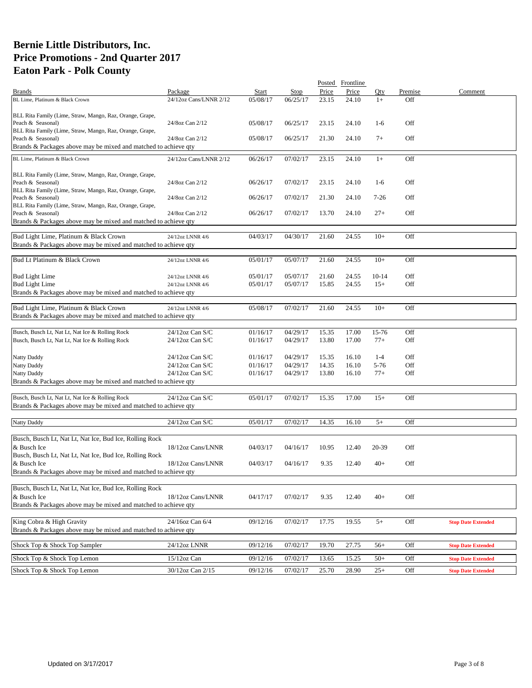|                                                                               |                        |          |             |       | Posted Frontline |           |         |                           |
|-------------------------------------------------------------------------------|------------------------|----------|-------------|-------|------------------|-----------|---------|---------------------------|
| <b>Brands</b>                                                                 | Package                | Start    | <b>Stop</b> | Price | Price            | Otv       | Premise | Comment                   |
| BL Lime, Platinum & Black Crown                                               | 24/12oz Cans/LNNR 2/12 | 05/08/17 | 06/25/17    | 23.15 | 24.10            | $1+$      | Off     |                           |
|                                                                               |                        |          |             |       |                  |           |         |                           |
| BLL Rita Family (Lime, Straw, Mango, Raz, Orange, Grape,                      |                        |          |             |       |                  |           |         |                           |
| Peach & Seasonal)<br>BLL Rita Family (Lime, Straw, Mango, Raz, Orange, Grape, | 24/8oz Can 2/12        | 05/08/17 | 06/25/17    | 23.15 | 24.10            | $1-6$     | Off     |                           |
| Peach & Seasonal)                                                             | 24/8oz Can 2/12        | 05/08/17 | 06/25/17    | 21.30 | 24.10            | $7+$      | Off     |                           |
| Brands & Packages above may be mixed and matched to achieve qty               |                        |          |             |       |                  |           |         |                           |
|                                                                               |                        |          |             |       |                  |           |         |                           |
| BL Lime, Platinum & Black Crown                                               | 24/12oz Cans/LNNR 2/12 | 06/26/17 | 07/02/17    | 23.15 | 24.10            | $1+$      | Off     |                           |
|                                                                               |                        |          |             |       |                  |           |         |                           |
| BLL Rita Family (Lime, Straw, Mango, Raz, Orange, Grape,<br>Peach & Seasonal) | 24/8oz Can 2/12        | 06/26/17 | 07/02/17    | 23.15 | 24.10            | $1-6$     | Off     |                           |
| BLL Rita Family (Lime, Straw, Mango, Raz, Orange, Grape,                      |                        |          |             |       |                  |           |         |                           |
| Peach & Seasonal)                                                             | 24/8oz Can 2/12        | 06/26/17 | 07/02/17    | 21.30 | 24.10            | $7-26$    | Off     |                           |
| BLL Rita Family (Lime, Straw, Mango, Raz, Orange, Grape,                      |                        |          |             |       |                  |           |         |                           |
| Peach & Seasonal)                                                             | 24/8oz Can 2/12        | 06/26/17 | 07/02/17    | 13.70 | 24.10            | $27+$     | Off     |                           |
| Brands & Packages above may be mixed and matched to achieve qty               |                        |          |             |       |                  |           |         |                           |
|                                                                               |                        |          |             |       |                  |           |         |                           |
| Bud Light Lime, Platinum & Black Crown                                        | 24/12oz LNNR 4/6       | 04/03/17 | 04/30/17    | 21.60 | 24.55            | $10+$     | Off     |                           |
| Brands & Packages above may be mixed and matched to achieve qty               |                        |          |             |       |                  |           |         |                           |
| Bud Lt Platinum & Black Crown                                                 | 24/12oz LNNR 4/6       | 05/01/17 | 05/07/17    | 21.60 | 24.55            | $10+$     | Off     |                           |
|                                                                               |                        |          |             |       |                  |           |         |                           |
| <b>Bud Light Lime</b>                                                         | 24/12oz LNNR 4/6       | 05/01/17 | 05/07/17    | 21.60 | 24.55            | $10 - 14$ | Off     |                           |
| <b>Bud Light Lime</b>                                                         | 24/12oz LNNR 4/6       | 05/01/17 | 05/07/17    | 15.85 | 24.55            | $15+$     | Off     |                           |
| Brands & Packages above may be mixed and matched to achieve qty               |                        |          |             |       |                  |           |         |                           |
|                                                                               |                        |          |             |       |                  |           |         |                           |
| Bud Light Lime, Platinum & Black Crown                                        | 24/12oz LNNR 4/6       | 05/08/17 | 07/02/17    | 21.60 | 24.55            | $10+$     | Off     |                           |
| Brands & Packages above may be mixed and matched to achieve qty               |                        |          |             |       |                  |           |         |                           |
|                                                                               |                        |          |             |       |                  |           |         |                           |
| Busch, Busch Lt, Nat Lt, Nat Ice & Rolling Rock                               | 24/12oz Can S/C        | 01/16/17 | 04/29/17    | 15.35 | 17.00            | 15-76     | Off     |                           |
| Busch, Busch Lt, Nat Lt, Nat Ice & Rolling Rock                               | $24/12$ oz Can S/C     | 01/16/17 | 04/29/17    | 13.80 | 17.00            | $77+$     | Off     |                           |
|                                                                               |                        |          |             |       |                  |           |         |                           |
| Natty Daddy                                                                   | $24/12$ oz Can S/C     | 01/16/17 | 04/29/17    | 15.35 | 16.10            | $1-4$     | Off     |                           |
| Natty Daddy                                                                   | 24/12oz Can S/C        | 01/16/17 | 04/29/17    | 14.35 | 16.10            | 5-76      | Off     |                           |
| Natty Daddy                                                                   | 24/12oz Can S/C        | 01/16/17 | 04/29/17    | 13.80 | 16.10            | $77+$     | Off     |                           |
| Brands & Packages above may be mixed and matched to achieve qty               |                        |          |             |       |                  |           |         |                           |
| Busch, Busch Lt, Nat Lt, Nat Ice & Rolling Rock                               | 24/12oz Can S/C        | 05/01/17 | 07/02/17    | 15.35 | 17.00            | $15+$     | Off     |                           |
| Brands & Packages above may be mixed and matched to achieve qty               |                        |          |             |       |                  |           |         |                           |
|                                                                               |                        |          |             |       |                  |           |         |                           |
| <b>Natty Daddy</b>                                                            | 24/12oz Can S/C        | 05/01/17 | 07/02/17    | 14.35 | 16.10            | $5+$      | Off     |                           |
|                                                                               |                        |          |             |       |                  |           |         |                           |
| Busch, Busch Lt, Nat Lt, Nat Ice, Bud Ice, Rolling Rock                       |                        |          |             |       |                  |           |         |                           |
| & Busch Ice                                                                   | 18/12oz Cans/LNNR      | 04/03/17 | 04/16/17    | 10.95 | 12.40            | 20-39     | Off     |                           |
| Busch, Busch Lt, Nat Lt, Nat Ice, Bud Ice, Rolling Rock                       |                        |          |             |       |                  |           |         |                           |
| & Busch Ice                                                                   | 18/12oz Cans/LNNR      | 04/03/17 | 04/16/17    | 9.35  | 12.40            | $40+$     | Off     |                           |
| Brands & Packages above may be mixed and matched to achieve qty               |                        |          |             |       |                  |           |         |                           |
|                                                                               |                        |          |             |       |                  |           |         |                           |
| Busch, Busch Lt, Nat Lt, Nat Ice, Bud Ice, Rolling Rock                       |                        |          |             |       |                  |           |         |                           |
| & Busch Ice                                                                   | 18/12oz Cans/LNNR      | 04/17/17 | 07/02/17    | 9.35  | 12.40            | $40+$     | Off     |                           |
| Brands & Packages above may be mixed and matched to achieve qty               |                        |          |             |       |                  |           |         |                           |
|                                                                               |                        |          |             |       |                  |           |         |                           |
| King Cobra & High Gravity                                                     | 24/16oz Can 6/4        | 09/12/16 | 07/02/17    | 17.75 | 19.55            | $5+$      | Off     | <b>Stop Date Extended</b> |
| Brands & Packages above may be mixed and matched to achieve qty               |                        |          |             |       |                  |           |         |                           |
|                                                                               |                        |          |             |       |                  |           |         |                           |
| Shock Top & Shock Top Sampler                                                 | 24/12oz LNNR           | 09/12/16 | 07/02/17    | 19.70 | 27.75            | $56+$     | Off     | <b>Stop Date Extended</b> |
| Shock Top & Shock Top Lemon                                                   | $15/12$ oz Can         | 09/12/16 | 07/02/17    | 13.65 | 15.25            | $50+$     | Off     | <b>Stop Date Extended</b> |
|                                                                               |                        |          |             |       |                  |           | Off     |                           |
| Shock Top & Shock Top Lemon                                                   | 30/12oz Can 2/15       | 09/12/16 | 07/02/17    | 25.70 | 28.90            | $25+$     |         | <b>Stop Date Extended</b> |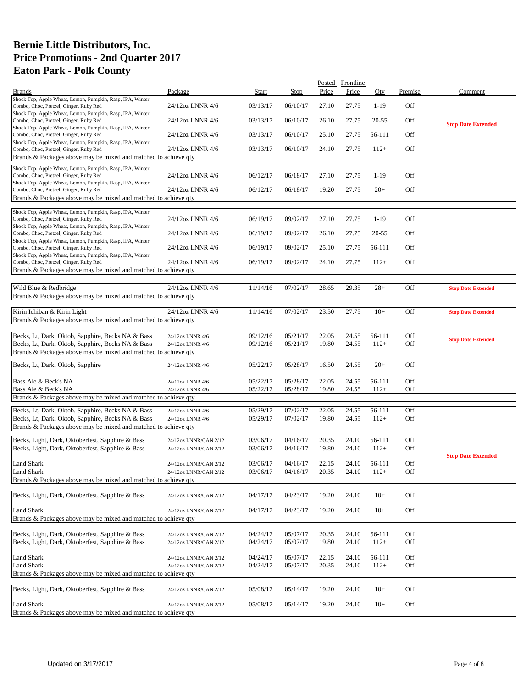|                                                                                                     |                       |          |          |       | Posted Frontline |           |         |                           |
|-----------------------------------------------------------------------------------------------------|-----------------------|----------|----------|-------|------------------|-----------|---------|---------------------------|
| <b>Brands</b>                                                                                       | Package               | Start    | Stop     | Price | Price            | Oty       | Premise | Comment                   |
| Shock Top, Apple Wheat, Lemon, Pumpkin, Rasp, IPA, Winter                                           |                       |          |          |       |                  |           |         |                           |
| Combo, Choc, Pretzel, Ginger, Ruby Red                                                              | 24/12oz LNNR 4/6      | 03/13/17 | 06/10/17 | 27.10 | 27.75            | $1 - 19$  | Off     |                           |
| Shock Top, Apple Wheat, Lemon, Pumpkin, Rasp, IPA, Winter                                           |                       |          |          |       |                  |           |         |                           |
| Combo, Choc, Pretzel, Ginger, Ruby Red                                                              | 24/12oz LNNR 4/6      | 03/13/17 | 06/10/17 | 26.10 | 27.75            | $20 - 55$ | Off     | <b>Stop Date Extended</b> |
| Shock Top, Apple Wheat, Lemon, Pumpkin, Rasp, IPA, Winter                                           |                       |          |          |       |                  |           |         |                           |
| Combo, Choc, Pretzel, Ginger, Ruby Red                                                              | 24/12oz LNNR 4/6      | 03/13/17 | 06/10/17 | 25.10 | 27.75            | 56-111    | Off     |                           |
| Shock Top, Apple Wheat, Lemon, Pumpkin, Rasp, IPA, Winter                                           |                       |          |          |       |                  |           |         |                           |
| Combo, Choc, Pretzel, Ginger, Ruby Red                                                              | 24/12oz LNNR 4/6      | 03/13/17 | 06/10/17 | 24.10 | 27.75            | $112+$    | Off     |                           |
| Brands & Packages above may be mixed and matched to achieve qty                                     |                       |          |          |       |                  |           |         |                           |
| Shock Top, Apple Wheat, Lemon, Pumpkin, Rasp, IPA, Winter                                           |                       |          |          |       |                  |           |         |                           |
| Combo, Choc, Pretzel, Ginger, Ruby Red                                                              | 24/12oz LNNR 4/6      | 06/12/17 | 06/18/17 | 27.10 | 27.75            | $1-19$    | Off     |                           |
| Shock Top, Apple Wheat, Lemon, Pumpkin, Rasp, IPA, Winter                                           |                       |          |          |       |                  |           |         |                           |
| Combo, Choc, Pretzel, Ginger, Ruby Red                                                              | 24/12oz LNNR 4/6      | 06/12/17 | 06/18/17 | 19.20 | 27.75            | $20+$     | Off     |                           |
| Brands & Packages above may be mixed and matched to achieve qty                                     |                       |          |          |       |                  |           |         |                           |
|                                                                                                     |                       |          |          |       |                  |           |         |                           |
| Shock Top, Apple Wheat, Lemon, Pumpkin, Rasp, IPA, Winter                                           |                       |          |          |       |                  |           |         |                           |
| Combo, Choc, Pretzel, Ginger, Ruby Red                                                              | 24/12oz LNNR 4/6      | 06/19/17 | 09/02/17 | 27.10 | 27.75            | $1-19$    | Off     |                           |
| Shock Top, Apple Wheat, Lemon, Pumpkin, Rasp, IPA, Winter                                           |                       |          |          |       |                  |           |         |                           |
| Combo, Choc, Pretzel, Ginger, Ruby Red                                                              | 24/12oz LNNR 4/6      | 06/19/17 | 09/02/17 | 26.10 | 27.75            | $20 - 55$ | Off     |                           |
| Shock Top, Apple Wheat, Lemon, Pumpkin, Rasp, IPA, Winter<br>Combo, Choc, Pretzel, Ginger, Ruby Red | 24/12oz LNNR 4/6      | 06/19/17 | 09/02/17 | 25.10 | 27.75            | 56-111    | Off     |                           |
| Shock Top, Apple Wheat, Lemon, Pumpkin, Rasp, IPA, Winter                                           |                       |          |          |       |                  |           |         |                           |
| Combo, Choc, Pretzel, Ginger, Ruby Red                                                              | 24/12oz LNNR 4/6      | 06/19/17 | 09/02/17 | 24.10 | 27.75            | $112+$    | Off     |                           |
| Brands & Packages above may be mixed and matched to achieve gty                                     |                       |          |          |       |                  |           |         |                           |
|                                                                                                     |                       |          |          |       |                  |           |         |                           |
|                                                                                                     |                       |          |          |       |                  |           |         |                           |
| Wild Blue & Redbridge                                                                               | 24/12oz LNNR 4/6      | 11/14/16 | 07/02/17 | 28.65 | 29.35            | $28+$     | Off     | <b>Stop Date Extended</b> |
| Brands & Packages above may be mixed and matched to achieve qty                                     |                       |          |          |       |                  |           |         |                           |
|                                                                                                     |                       |          |          |       |                  |           |         |                           |
| Kirin Ichiban & Kirin Light                                                                         | 24/12oz LNNR 4/6      | 11/14/16 | 07/02/17 | 23.50 | 27.75            | $10+$     | Off     | <b>Stop Date Extended</b> |
| Brands & Packages above may be mixed and matched to achieve qty                                     |                       |          |          |       |                  |           |         |                           |
|                                                                                                     |                       |          |          |       |                  |           |         |                           |
| Becks, Lt, Dark, Oktob, Sapphire, Becks NA & Bass                                                   | 24/12oz LNNR 4/6      | 09/12/16 | 05/21/17 | 22.05 | 24.55            | 56-111    | Off     | <b>Stop Date Extended</b> |
| Becks, Lt, Dark, Oktob, Sapphire, Becks NA & Bass                                                   | 24/12oz LNNR 4/6      | 09/12/16 | 05/21/17 | 19.80 | 24.55            | $112+$    | Off     |                           |
| Brands & Packages above may be mixed and matched to achieve qty                                     |                       |          |          |       |                  |           |         |                           |
|                                                                                                     |                       |          |          |       |                  |           |         |                           |
| Becks, Lt, Dark, Oktob, Sapphire                                                                    | 24/12oz LNNR 4/6      | 05/22/17 | 05/28/17 | 16.50 | 24.55            | $20+$     | Off     |                           |
|                                                                                                     |                       |          |          |       |                  |           |         |                           |
| Bass Ale & Beck's NA                                                                                | 24/12oz LNNR 4/6      | 05/22/17 | 05/28/17 | 22.05 | 24.55            | 56-111    | Off     |                           |
| Bass Ale & Beck's NA                                                                                | 24/12oz LNNR 4/6      | 05/22/17 | 05/28/17 | 19.80 | 24.55            | $112+$    | Off     |                           |
| Brands & Packages above may be mixed and matched to achieve qty                                     |                       |          |          |       |                  |           |         |                           |
|                                                                                                     |                       |          |          |       |                  |           |         |                           |
| Becks, Lt, Dark, Oktob, Sapphire, Becks NA & Bass                                                   | 24/12oz LNNR 4/6      | 05/29/17 | 07/02/17 | 22.05 | 24.55            | 56-111    | Off     |                           |
| Becks, Lt, Dark, Oktob, Sapphire, Becks NA & Bass                                                   | 24/12oz LNNR 4/6      | 05/29/17 | 07/02/17 | 19.80 | 24.55            | $112+$    | Off     |                           |
| Brands & Packages above may be mixed and matched to achieve gty                                     |                       |          |          |       |                  |           |         |                           |
| Becks, Light, Dark, Oktoberfest, Sapphire & Bass                                                    | 24/12oz LNNR/CAN 2/12 | 03/06/17 | 04/16/17 | 20.35 | 24.10            | 56-111    | Off     |                           |
|                                                                                                     |                       | 03/06/17 |          |       |                  |           |         |                           |
| Becks, Light, Dark, Oktoberfest, Sapphire & Bass                                                    | 24/12oz LNNR/CAN 2/12 |          | 04/16/17 | 19.80 | 24.10            | $112+$    | Off     |                           |
|                                                                                                     |                       |          |          |       |                  |           |         | <b>Stop Date Extended</b> |
| Land Shark                                                                                          | 24/12oz LNNR/CAN 2/12 | 03/06/17 | 04/16/17 | 22.15 | 24.10            | 56-111    | Off     |                           |
| Land Shark                                                                                          | 24/12oz LNNR/CAN 2/12 | 03/06/17 | 04/16/17 | 20.35 | 24.10            | $112+$    | Off     |                           |
| Brands & Packages above may be mixed and matched to achieve qty                                     |                       |          |          |       |                  |           |         |                           |
|                                                                                                     |                       |          |          |       |                  |           |         |                           |
| Becks, Light, Dark, Oktoberfest, Sapphire & Bass                                                    | 24/12oz LNNR/CAN 2/12 | 04/17/17 | 04/23/17 | 19.20 | 24.10            | $10+$     | Off     |                           |
|                                                                                                     |                       |          |          |       |                  |           |         |                           |
| Land Shark                                                                                          | 24/12oz LNNR/CAN 2/12 | 04/17/17 | 04/23/17 | 19.20 | 24.10            | $10+$     | Off     |                           |
| Brands & Packages above may be mixed and matched to achieve gty                                     |                       |          |          |       |                  |           |         |                           |
|                                                                                                     |                       |          |          |       |                  |           |         |                           |
| Becks, Light, Dark, Oktoberfest, Sapphire & Bass                                                    | 24/12oz LNNR/CAN 2/12 | 04/24/17 | 05/07/17 | 20.35 | 24.10            | 56-111    | Off     |                           |
| Becks, Light, Dark, Oktoberfest, Sapphire & Bass                                                    | 24/12oz LNNR/CAN 2/12 | 04/24/17 | 05/07/17 | 19.80 | 24.10            | $112+$    | Off     |                           |
|                                                                                                     |                       |          |          |       |                  |           |         |                           |
| Land Shark                                                                                          | 24/12oz LNNR/CAN 2/12 | 04/24/17 | 05/07/17 | 22.15 | 24.10            | 56-111    | Off     |                           |
| Land Shark                                                                                          | 24/12oz LNNR/CAN 2/12 | 04/24/17 | 05/07/17 | 20.35 | 24.10            | $112+$    | Off     |                           |
| Brands & Packages above may be mixed and matched to achieve qty                                     |                       |          |          |       |                  |           |         |                           |
|                                                                                                     |                       |          |          |       |                  |           |         |                           |
| Becks, Light, Dark, Oktoberfest, Sapphire & Bass                                                    | 24/12oz LNNR/CAN 2/12 | 05/08/17 | 05/14/17 | 19.20 | 24.10            | $10+$     | Off     |                           |
|                                                                                                     |                       |          |          |       |                  |           |         |                           |
| <b>Land Shark</b>                                                                                   | 24/12oz LNNR/CAN 2/12 | 05/08/17 | 05/14/17 | 19.20 | 24.10            | $10+$     | Off     |                           |
| Brands & Packages above may be mixed and matched to achieve qty                                     |                       |          |          |       |                  |           |         |                           |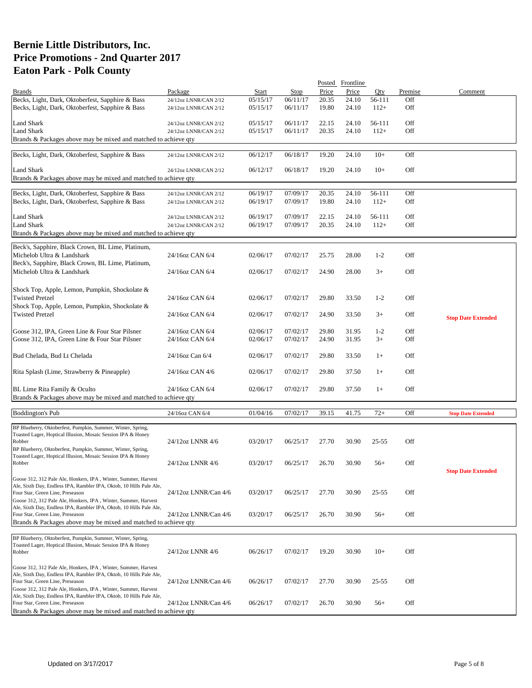| Start<br>Price<br>Price<br>Comment<br>Package<br><b>Stop</b><br>Oty<br>Premise<br><b>Brands</b><br>Becks, Light, Dark, Oktoberfest, Sapphire & Bass<br>05/15/17<br>06/11/17<br>20.35<br>24.10<br>56-111<br>Off<br>24/12oz LNNR/CAN 2/12<br>Becks, Light, Dark, Oktoberfest, Sapphire & Bass<br>05/15/17<br>06/11/17<br>19.80<br>24.10<br>$112+$<br>Off<br>24/12oz LNNR/CAN 2/12<br>Off<br>Land Shark<br>05/15/17<br>06/11/17<br>22.15<br>24.10<br>56-111<br>24/12oz LNNR/CAN 2/12 |  |
|-----------------------------------------------------------------------------------------------------------------------------------------------------------------------------------------------------------------------------------------------------------------------------------------------------------------------------------------------------------------------------------------------------------------------------------------------------------------------------------|--|
|                                                                                                                                                                                                                                                                                                                                                                                                                                                                                   |  |
|                                                                                                                                                                                                                                                                                                                                                                                                                                                                                   |  |
|                                                                                                                                                                                                                                                                                                                                                                                                                                                                                   |  |
|                                                                                                                                                                                                                                                                                                                                                                                                                                                                                   |  |
|                                                                                                                                                                                                                                                                                                                                                                                                                                                                                   |  |
| <b>Land Shark</b><br>Off<br>05/15/17<br>06/11/17<br>20.35<br>24.10<br>$112+$<br>24/12oz LNNR/CAN 2/12                                                                                                                                                                                                                                                                                                                                                                             |  |
| Brands & Packages above may be mixed and matched to achieve qty                                                                                                                                                                                                                                                                                                                                                                                                                   |  |
|                                                                                                                                                                                                                                                                                                                                                                                                                                                                                   |  |
| Becks, Light, Dark, Oktoberfest, Sapphire & Bass<br>Off<br>06/12/17<br>06/18/17<br>19.20<br>24.10<br>$10+$<br>24/12oz LNNR/CAN 2/12                                                                                                                                                                                                                                                                                                                                               |  |
|                                                                                                                                                                                                                                                                                                                                                                                                                                                                                   |  |
| <b>Land Shark</b><br>Off<br>06/12/17<br>06/18/17<br>19.20<br>24.10<br>$10+$<br>24/12oz LNNR/CAN 2/12                                                                                                                                                                                                                                                                                                                                                                              |  |
| Brands & Packages above may be mixed and matched to achieve qty                                                                                                                                                                                                                                                                                                                                                                                                                   |  |
|                                                                                                                                                                                                                                                                                                                                                                                                                                                                                   |  |
| Becks, Light, Dark, Oktoberfest, Sapphire & Bass<br>06/19/17<br>07/09/17<br>20.35<br>24.10<br>56-111<br>Off                                                                                                                                                                                                                                                                                                                                                                       |  |
| 24/12oz LNNR/CAN 2/12                                                                                                                                                                                                                                                                                                                                                                                                                                                             |  |
| Becks, Light, Dark, Oktoberfest, Sapphire & Bass<br>06/19/17<br>07/09/17<br>19.80<br>24.10<br>$112+$<br>Off<br>24/12oz LNNR/CAN 2/12                                                                                                                                                                                                                                                                                                                                              |  |
|                                                                                                                                                                                                                                                                                                                                                                                                                                                                                   |  |
| Off<br>Land Shark<br>07/09/17<br>22.15<br>24/12oz LNNR/CAN 2/12<br>06/19/17<br>24.10<br>56-111                                                                                                                                                                                                                                                                                                                                                                                    |  |
| Off<br><b>Land Shark</b><br>06/19/17<br>07/09/17<br>20.35<br>24.10<br>$112+$<br>24/12oz LNNR/CAN 2/12                                                                                                                                                                                                                                                                                                                                                                             |  |
| Brands & Packages above may be mixed and matched to achieve qty                                                                                                                                                                                                                                                                                                                                                                                                                   |  |
|                                                                                                                                                                                                                                                                                                                                                                                                                                                                                   |  |
| Beck's, Sapphire, Black Crown, BL Lime, Platinum,                                                                                                                                                                                                                                                                                                                                                                                                                                 |  |
| Michelob Ultra & Landshark<br>24/16oz CAN 6/4<br>02/06/17<br>07/02/17<br>25.75<br>28.00<br>$1 - 2$<br>Off                                                                                                                                                                                                                                                                                                                                                                         |  |
| Beck's, Sapphire, Black Crown, BL Lime, Platinum,                                                                                                                                                                                                                                                                                                                                                                                                                                 |  |
| Michelob Ultra & Landshark<br>Off<br>24/16oz CAN 6/4<br>02/06/17<br>07/02/17<br>24.90<br>28.00<br>$3+$                                                                                                                                                                                                                                                                                                                                                                            |  |
|                                                                                                                                                                                                                                                                                                                                                                                                                                                                                   |  |
| Shock Top, Apple, Lemon, Pumpkin, Shockolate &                                                                                                                                                                                                                                                                                                                                                                                                                                    |  |
| <b>Twisted Pretzel</b><br>24/16oz CAN 6/4<br>02/06/17<br>07/02/17<br>33.50<br>$1 - 2$<br>Off<br>29.80                                                                                                                                                                                                                                                                                                                                                                             |  |
|                                                                                                                                                                                                                                                                                                                                                                                                                                                                                   |  |
| Shock Top, Apple, Lemon, Pumpkin, Shockolate &                                                                                                                                                                                                                                                                                                                                                                                                                                    |  |
| <b>Twisted Pretzel</b><br>Off<br>24/16oz CAN 6/4<br>02/06/17<br>07/02/17<br>24.90<br>33.50<br>$3+$<br><b>Stop Date Extended</b>                                                                                                                                                                                                                                                                                                                                                   |  |
|                                                                                                                                                                                                                                                                                                                                                                                                                                                                                   |  |
| 07/02/17<br>$1 - 2$<br>Off<br>Goose 312, IPA, Green Line & Four Star Pilsner<br>24/16oz CAN 6/4<br>02/06/17<br>29.80<br>31.95                                                                                                                                                                                                                                                                                                                                                     |  |
| Goose 312, IPA, Green Line & Four Star Pilsner<br>24/16oz CAN 6/4<br>07/02/17<br>24.90<br>31.95<br>$3+$<br>Off<br>02/06/17                                                                                                                                                                                                                                                                                                                                                        |  |
|                                                                                                                                                                                                                                                                                                                                                                                                                                                                                   |  |
| Bud Chelada, Bud Lt Chelada<br>24/16oz Can 6/4<br>02/06/17<br>07/02/17<br>29.80<br>33.50<br>Off<br>$1+$                                                                                                                                                                                                                                                                                                                                                                           |  |
|                                                                                                                                                                                                                                                                                                                                                                                                                                                                                   |  |
| Off<br>Rita Splash (Lime, Strawberry & Pineapple)<br>24/16oz CAN 4/6<br>02/06/17<br>07/02/17<br>29.80<br>37.50<br>$1+$                                                                                                                                                                                                                                                                                                                                                            |  |
|                                                                                                                                                                                                                                                                                                                                                                                                                                                                                   |  |
|                                                                                                                                                                                                                                                                                                                                                                                                                                                                                   |  |
| Off<br>BL Lime Rita Family & Oculto<br>24/16oz CAN 6/4<br>02/06/17<br>07/02/17<br>29.80<br>37.50<br>$1+$                                                                                                                                                                                                                                                                                                                                                                          |  |
| Brands & Packages above may be mixed and matched to achieve qty                                                                                                                                                                                                                                                                                                                                                                                                                   |  |
|                                                                                                                                                                                                                                                                                                                                                                                                                                                                                   |  |
| 01/04/16<br><b>Boddington's Pub</b><br>07/02/17<br>39.15<br>41.75<br>$72+$<br>Off<br>24/16oz CAN 6/4<br><b>Stop Date Extended</b>                                                                                                                                                                                                                                                                                                                                                 |  |
|                                                                                                                                                                                                                                                                                                                                                                                                                                                                                   |  |
| BP Blueberry, Oktoberfest, Pumpkin, Summer, Winter, Spring,                                                                                                                                                                                                                                                                                                                                                                                                                       |  |
| Toasted Lager, Hoptical Illusion, Mosaic Session IPA & Honey<br>24/12oz LNNR 4/6<br>03/20/17<br>06/25/17<br>27.70<br>30.90<br>$25 - 55$<br>Off<br>Robber                                                                                                                                                                                                                                                                                                                          |  |
|                                                                                                                                                                                                                                                                                                                                                                                                                                                                                   |  |
| BP Blueberry, Oktoberfest, Pumpkin, Summer, Winter, Spring,<br>Toasted Lager, Hoptical Illusion, Mosaic Session IPA & Honey                                                                                                                                                                                                                                                                                                                                                       |  |
| 03/20/17<br>30.90<br>Off<br>24/12oz LNNR 4/6<br>06/25/17<br>26.70<br>Robber<br>$56+$                                                                                                                                                                                                                                                                                                                                                                                              |  |
| <b>Stop Date Extended</b>                                                                                                                                                                                                                                                                                                                                                                                                                                                         |  |
| Goose 312, 312 Pale Ale, Honkers, IPA, Winter, Summer, Harvest                                                                                                                                                                                                                                                                                                                                                                                                                    |  |
| Ale, Sixth Day, Endless IPA, Rambler IPA, Oktob, 10 Hills Pale Ale,                                                                                                                                                                                                                                                                                                                                                                                                               |  |
| Off<br>03/20/17<br>06/25/17<br>30.90<br>$25 - 55$<br>Four Star, Green Line, Preseason<br>24/12oz LNNR/Can 4/6<br>27.70                                                                                                                                                                                                                                                                                                                                                            |  |
| Goose 312, 312 Pale Ale, Honkers, IPA, Winter, Summer, Harvest                                                                                                                                                                                                                                                                                                                                                                                                                    |  |
| Ale, Sixth Day, Endless IPA, Rambler IPA, Oktob, 10 Hills Pale Ale,                                                                                                                                                                                                                                                                                                                                                                                                               |  |
| 24/12oz LNNR/Can 4/6<br>03/20/17<br>06/25/17<br>Off<br>26.70<br>30.90<br>$56+$<br>Four Star, Green Line, Preseason                                                                                                                                                                                                                                                                                                                                                                |  |
| Brands & Packages above may be mixed and matched to achieve qty                                                                                                                                                                                                                                                                                                                                                                                                                   |  |
|                                                                                                                                                                                                                                                                                                                                                                                                                                                                                   |  |
|                                                                                                                                                                                                                                                                                                                                                                                                                                                                                   |  |
|                                                                                                                                                                                                                                                                                                                                                                                                                                                                                   |  |
| BP Blueberry, Oktoberfest, Pumpkin, Summer, Winter, Spring,                                                                                                                                                                                                                                                                                                                                                                                                                       |  |
| Toasted Lager, Hoptical Illusion, Mosaic Session IPA & Honey<br>24/12oz LNNR 4/6<br>06/26/17<br>07/02/17<br>30.90<br>$10+$<br>Off<br>Robber<br>19.20                                                                                                                                                                                                                                                                                                                              |  |
|                                                                                                                                                                                                                                                                                                                                                                                                                                                                                   |  |
| Goose 312, 312 Pale Ale, Honkers, IPA, Winter, Summer, Harvest                                                                                                                                                                                                                                                                                                                                                                                                                    |  |
| Ale, Sixth Day, Endless IPA, Rambler IPA, Oktob, 10 Hills Pale Ale,                                                                                                                                                                                                                                                                                                                                                                                                               |  |
| 27.70<br>30.90<br>$25 - 55$<br>Off<br>Four Star, Green Line, Preseason<br>24/12oz LNNR/Can 4/6<br>06/26/17<br>07/02/17                                                                                                                                                                                                                                                                                                                                                            |  |
| Goose 312, 312 Pale Ale, Honkers, IPA, Winter, Summer, Harvest                                                                                                                                                                                                                                                                                                                                                                                                                    |  |
| Ale, Sixth Day, Endless IPA, Rambler IPA, Oktob, 10 Hills Pale Ale,                                                                                                                                                                                                                                                                                                                                                                                                               |  |
| 24/12oz LNNR/Can 4/6<br>07/02/17<br>30.90<br>$56+$<br>Off<br>Four Star, Green Line, Preseason<br>06/26/17<br>26.70<br>Brands & Packages above may be mixed and matched to achieve qty                                                                                                                                                                                                                                                                                             |  |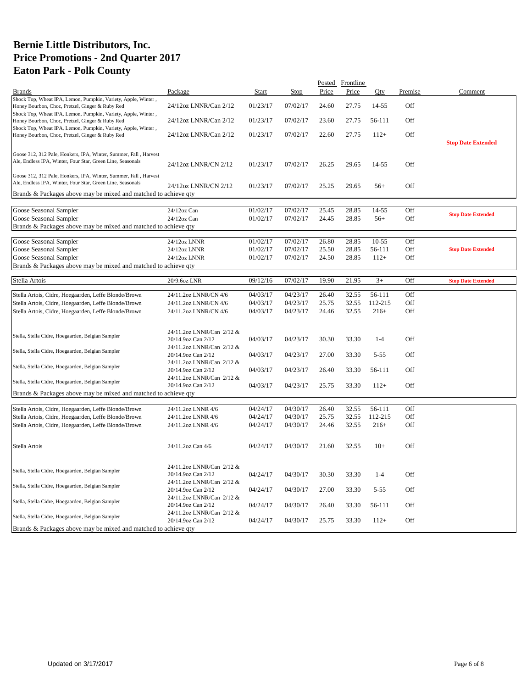|                                                                  |                           |          |          |       | Posted Frontline |          |         |                           |
|------------------------------------------------------------------|---------------------------|----------|----------|-------|------------------|----------|---------|---------------------------|
| <b>Brands</b>                                                    | Package                   | Start    | Stop     | Price | Price            | Qty      | Premise | Comment                   |
| Shock Top, Wheat IPA, Lemon, Pumpkin, Variety, Apple, Winter,    |                           |          |          |       |                  |          |         |                           |
| Honey Bourbon, Choc, Pretzel, Ginger & Ruby Red                  | 24/12oz LNNR/Can 2/12     | 01/23/17 | 07/02/17 | 24.60 | 27.75            | 14-55    | Off     |                           |
| Shock Top, Wheat IPA, Lemon, Pumpkin, Variety, Apple, Winter,    |                           |          |          |       |                  |          |         |                           |
| Honey Bourbon, Choc, Pretzel, Ginger & Ruby Red                  | 24/12oz LNNR/Can 2/12     | 01/23/17 | 07/02/17 | 23.60 | 27.75            | 56-111   | Off     |                           |
| Shock Top, Wheat IPA, Lemon, Pumpkin, Variety, Apple, Winter,    |                           |          |          |       |                  |          |         |                           |
| Honey Bourbon, Choc, Pretzel, Ginger & Ruby Red                  | 24/12oz LNNR/Can 2/12     | 01/23/17 | 07/02/17 | 22.60 | 27.75            | $112+$   | Off     |                           |
|                                                                  |                           |          |          |       |                  |          |         | <b>Stop Date Extended</b> |
| Goose 312, 312 Pale, Honkers, IPA, Winter, Summer, Fall, Harvest |                           |          |          |       |                  |          |         |                           |
| Ale, Endless IPA, Winter, Four Star, Green Line, Seasonals       |                           |          |          |       |                  |          |         |                           |
|                                                                  | 24/12oz LNNR/CN 2/12      | 01/23/17 | 07/02/17 | 26.25 | 29.65            | 14-55    | Off     |                           |
| Goose 312, 312 Pale, Honkers, IPA, Winter, Summer, Fall, Harvest |                           |          |          |       |                  |          |         |                           |
| Ale, Endless IPA, Winter, Four Star, Green Line, Seasonals       |                           |          |          |       |                  |          |         |                           |
|                                                                  | 24/12oz LNNR/CN 2/12      | 01/23/17 | 07/02/17 | 25.25 | 29.65            | $56+$    | Off     |                           |
| Brands & Packages above may be mixed and matched to achieve qty  |                           |          |          |       |                  |          |         |                           |
|                                                                  |                           |          |          |       |                  |          |         |                           |
| Goose Seasonal Sampler                                           | 24/12oz Can               | 01/02/17 | 07/02/17 | 25.45 | 28.85            | 14-55    | Off     | <b>Stop Date Extended</b> |
| Goose Seasonal Sampler                                           | 24/12oz Can               | 01/02/17 | 07/02/17 | 24.45 | 28.85            | $56+$    | Off     |                           |
| Brands & Packages above may be mixed and matched to achieve qty  |                           |          |          |       |                  |          |         |                           |
|                                                                  |                           |          |          |       |                  |          |         |                           |
| Goose Seasonal Sampler                                           | 24/12oz LNNR              | 01/02/17 | 07/02/17 | 26.80 | 28.85            | 10-55    | Off     |                           |
| Goose Seasonal Sampler                                           | 24/12oz LNNR              | 01/02/17 | 07/02/17 | 25.50 | 28.85            | 56-111   | Off     | <b>Stop Date Extended</b> |
| Goose Seasonal Sampler                                           | 24/12oz LNNR              | 01/02/17 | 07/02/17 | 24.50 | 28.85            | $112+$   | Off     |                           |
|                                                                  |                           |          |          |       |                  |          |         |                           |
| Brands & Packages above may be mixed and matched to achieve qty  |                           |          |          |       |                  |          |         |                           |
| Stella Artois                                                    | 20/9.6oz LNR              | 09/12/16 | 07/02/17 | 19.90 | 21.95            | $3+$     | Off     | <b>Stop Date Extended</b> |
|                                                                  |                           |          |          |       |                  |          |         |                           |
| Stella Artois, Cidre, Hoegaarden, Leffe Blonde/Brown             | 24/11.2oz LNNR/CN 4/6     | 04/03/17 | 04/23/17 | 26.40 | 32.55            | 56-111   | Off     |                           |
|                                                                  |                           | 04/03/17 | 04/23/17 | 25.75 | 32.55            | 112-215  | Off     |                           |
| Stella Artois, Cidre, Hoegaarden, Leffe Blonde/Brown             | 24/11.2oz LNNR/CN 4/6     |          |          |       |                  |          |         |                           |
| Stella Artois, Cidre, Hoegaarden, Leffe Blonde/Brown             | 24/11.2oz LNNR/CN 4/6     | 04/03/17 | 04/23/17 | 24.46 | 32.55            | $216+$   | Off     |                           |
|                                                                  |                           |          |          |       |                  |          |         |                           |
|                                                                  | 24/11.2oz LNNR/Can 2/12 & |          |          |       |                  |          |         |                           |
| Stella, Stella Cidre, Hoegaarden, Belgian Sampler                | 20/14.9oz Can 2/12        | 04/03/17 | 04/23/17 | 30.30 | 33.30            | $1 - 4$  | Off     |                           |
|                                                                  | 24/11.2oz LNNR/Can 2/12 & |          |          |       |                  |          |         |                           |
| Stella, Stella Cidre, Hoegaarden, Belgian Sampler                | 20/14.9oz Can 2/12        | 04/03/17 |          | 27.00 | 33.30            |          | Off     |                           |
|                                                                  |                           |          | 04/23/17 |       |                  | $5 - 55$ |         |                           |
| Stella, Stella Cidre, Hoegaarden, Belgian Sampler                | 24/11.2oz LNNR/Can 2/12 & |          |          |       |                  |          |         |                           |
|                                                                  | 20/14.9oz Can 2/12        | 04/03/17 | 04/23/17 | 26.40 | 33.30            | 56-111   | Off     |                           |
| Stella, Stella Cidre, Hoegaarden, Belgian Sampler                | 24/11.2oz LNNR/Can 2/12 & |          |          |       |                  |          |         |                           |
|                                                                  | 20/14.9oz Can 2/12        | 04/03/17 | 04/23/17 | 25.75 | 33.30            | $112+$   | Off     |                           |
| Brands & Packages above may be mixed and matched to achieve qty  |                           |          |          |       |                  |          |         |                           |
|                                                                  |                           |          |          |       |                  |          |         |                           |
| Stella Artois, Cidre, Hoegaarden, Leffe Blonde/Brown             | 24/11.2oz LNNR 4/6        | 04/24/17 | 04/30/17 | 26.40 | 32.55            | 56-111   | Off     |                           |
| Stella Artois, Cidre, Hoegaarden, Leffe Blonde/Brown             | 24/11.2oz LNNR 4/6        | 04/24/17 | 04/30/17 | 25.75 | 32.55            | 112-215  | Off     |                           |
| Stella Artois, Cidre, Hoegaarden, Leffe Blonde/Brown             | 24/11.2oz LNNR 4/6        | 04/24/17 | 04/30/17 | 24.46 | 32.55            | $216+$   | Off     |                           |
|                                                                  |                           |          |          |       |                  |          |         |                           |
|                                                                  |                           |          |          |       |                  |          |         |                           |
| Stella Artois                                                    | 24/11.2oz Can 4/6         | 04/24/17 | 04/30/17 | 21.60 | 32.55            | $10+$    | Off     |                           |
|                                                                  |                           |          |          |       |                  |          |         |                           |
|                                                                  |                           |          |          |       |                  |          |         |                           |
| Stella, Stella Cidre, Hoegaarden, Belgian Sampler                | 24/11.2oz LNNR/Can 2/12 & |          |          |       |                  |          |         |                           |
|                                                                  | 20/14.9oz Can 2/12        | 04/24/17 | 04/30/17 | 30.30 | 33.30            | $1 - 4$  | Off     |                           |
| Stella, Stella Cidre, Hoegaarden, Belgian Sampler                | 24/11.2oz LNNR/Can 2/12 & |          |          |       |                  |          |         |                           |
|                                                                  | 20/14.9oz Can 2/12        | 04/24/17 | 04/30/17 | 27.00 | 33.30            | $5 - 55$ | Off     |                           |
| Stella, Stella Cidre, Hoegaarden, Belgian Sampler                | 24/11.2oz LNNR/Can 2/12 & |          |          |       |                  |          |         |                           |
|                                                                  | 20/14.9oz Can 2/12        | 04/24/17 | 04/30/17 | 26.40 | 33.30            | 56-111   | Off     |                           |
| Stella, Stella Cidre, Hoegaarden, Belgian Sampler                | 24/11.2oz LNNR/Can 2/12 & |          |          |       |                  |          |         |                           |
|                                                                  | 20/14.9oz Can 2/12        | 04/24/17 | 04/30/17 | 25.75 | 33.30            | $112+$   | Off     |                           |
| Brands & Packages above may be mixed and matched to achieve qty  |                           |          |          |       |                  |          |         |                           |
|                                                                  |                           |          |          |       |                  |          |         |                           |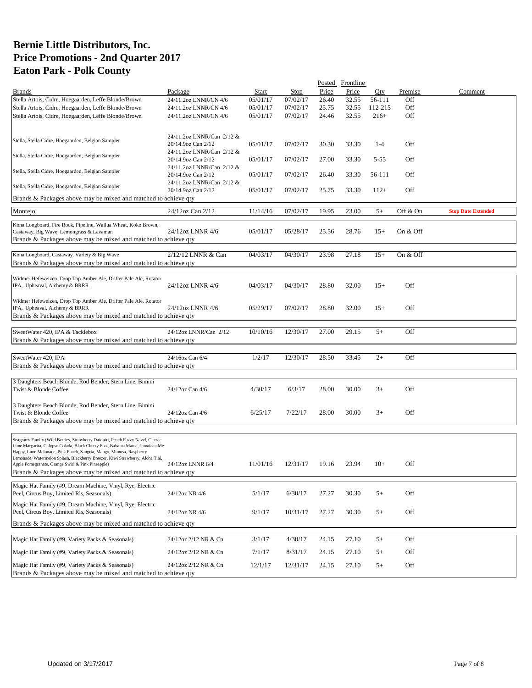|                                                                                                                                                      |                                                 |              |          | Posted | Frontline |          |          |                           |
|------------------------------------------------------------------------------------------------------------------------------------------------------|-------------------------------------------------|--------------|----------|--------|-----------|----------|----------|---------------------------|
| <b>Brands</b>                                                                                                                                        | Package                                         | <b>Start</b> | Stop     | Price  | Price     | Oty      | Premise  | Comment                   |
| Stella Artois, Cidre, Hoegaarden, Leffe Blonde/Brown                                                                                                 | 24/11.2oz LNNR/CN 4/6                           | 05/01/17     | 07/02/17 | 26.40  | 32.55     | 56-111   | Off      |                           |
| Stella Artois, Cidre, Hoegaarden, Leffe Blonde/Brown                                                                                                 | 24/11.2oz LNNR/CN 4/6                           | 05/01/17     | 07/02/17 | 25.75  | 32.55     | 112-215  | Off      |                           |
| Stella Artois, Cidre, Hoegaarden, Leffe Blonde/Brown                                                                                                 | 24/11.2oz LNNR/CN 4/6                           | 05/01/17     | 07/02/17 | 24.46  | 32.55     | $216+$   | Off      |                           |
|                                                                                                                                                      |                                                 |              |          |        |           |          |          |                           |
|                                                                                                                                                      |                                                 |              |          |        |           |          |          |                           |
| Stella, Stella Cidre, Hoegaarden, Belgian Sampler                                                                                                    | 24/11.2oz LNNR/Can 2/12 &                       |              |          |        |           |          |          |                           |
|                                                                                                                                                      | 20/14.9oz Can 2/12                              | 05/01/17     | 07/02/17 | 30.30  | 33.30     | $1 - 4$  | Off      |                           |
| Stella, Stella Cidre, Hoegaarden, Belgian Sampler                                                                                                    | 24/11.2oz LNNR/Can 2/12 &<br>20/14.9oz Can 2/12 | 05/01/17     | 07/02/17 | 27.00  | 33.30     | $5 - 55$ | Off      |                           |
|                                                                                                                                                      | 24/11.2oz LNNR/Can 2/12 &                       |              |          |        |           |          |          |                           |
| Stella, Stella Cidre, Hoegaarden, Belgian Sampler                                                                                                    | 20/14.9oz Can 2/12                              | 05/01/17     | 07/02/17 | 26.40  | 33.30     | 56-111   | Off      |                           |
|                                                                                                                                                      | 24/11.2oz LNNR/Can 2/12 &                       |              |          |        |           |          |          |                           |
| Stella, Stella Cidre, Hoegaarden, Belgian Sampler                                                                                                    | 20/14.9oz Can 2/12                              | 05/01/17     | 07/02/17 | 25.75  | 33.30     | $112+$   | Off      |                           |
| Brands & Packages above may be mixed and matched to achieve qty                                                                                      |                                                 |              |          |        |           |          |          |                           |
|                                                                                                                                                      |                                                 |              |          |        |           |          |          |                           |
| Montejo                                                                                                                                              | 24/12oz Can 2/12                                | 11/14/16     | 07/02/17 | 19.95  | 23.00     | $5+$     | Off & On | <b>Stop Date Extended</b> |
|                                                                                                                                                      |                                                 |              |          |        |           |          |          |                           |
| Kona Longboard, Fire Rock, Pipeline, Wailua Wheat, Koko Brown,<br>Castaway, Big Wave, Lemongrass & Lavaman                                           | 24/12oz LNNR 4/6                                | 05/01/17     | 05/28/17 | 25.56  | 28.76     | $15+$    | On & Off |                           |
| Brands & Packages above may be mixed and matched to achieve qty                                                                                      |                                                 |              |          |        |           |          |          |                           |
|                                                                                                                                                      |                                                 |              |          |        |           |          |          |                           |
| Kona Longboard, Castaway, Variety & Big Wave                                                                                                         | 2/12/12 LNNR & Can                              | 04/03/17     | 04/30/17 | 23.98  | 27.18     | $15+$    | On & Off |                           |
| Brands & Packages above may be mixed and matched to achieve qty                                                                                      |                                                 |              |          |        |           |          |          |                           |
|                                                                                                                                                      |                                                 |              |          |        |           |          |          |                           |
| Widmer Hefeweizen, Drop Top Amber Ale, Drifter Pale Ale, Rotator                                                                                     |                                                 |              |          |        |           |          |          |                           |
| IPA, Upheaval, Alchemy & BRRR                                                                                                                        | 24/12oz LNNR 4/6                                | 04/03/17     | 04/30/17 | 28.80  | 32.00     | $15+$    | Off      |                           |
|                                                                                                                                                      |                                                 |              |          |        |           |          |          |                           |
| Widmer Hefeweizen, Drop Top Amber Ale, Drifter Pale Ale, Rotator                                                                                     |                                                 |              |          |        |           |          |          |                           |
| IPA, Upheaval, Alchemy & BRRR                                                                                                                        | 24/12oz LNNR 4/6                                | 05/29/17     | 07/02/17 | 28.80  | 32.00     | $15+$    | Off      |                           |
| Brands & Packages above may be mixed and matched to achieve qty                                                                                      |                                                 |              |          |        |           |          |          |                           |
|                                                                                                                                                      |                                                 |              |          |        |           |          |          |                           |
| SweetWater 420, IPA & Tacklebox                                                                                                                      | 24/12oz LNNR/Can 2/12                           | 10/10/16     | 12/30/17 | 27.00  | 29.15     | $5+$     | Off      |                           |
| Brands & Packages above may be mixed and matched to achieve qty                                                                                      |                                                 |              |          |        |           |          |          |                           |
|                                                                                                                                                      |                                                 |              |          |        |           |          |          |                           |
| SweetWater 420, IPA                                                                                                                                  | 24/16oz Can 6/4                                 | 1/2/17       | 12/30/17 | 28.50  | 33.45     | $2+$     | Off      |                           |
| Brands & Packages above may be mixed and matched to achieve qty                                                                                      |                                                 |              |          |        |           |          |          |                           |
|                                                                                                                                                      |                                                 |              |          |        |           |          |          |                           |
| 3 Daughters Beach Blonde, Rod Bender, Stern Line, Bimini                                                                                             |                                                 |              |          |        |           |          |          |                           |
| Twist & Blonde Coffee                                                                                                                                | 24/12oz Can 4/6                                 | 4/30/17      | 6/3/17   | 28.00  | 30.00     | $3+$     | Off      |                           |
|                                                                                                                                                      |                                                 |              |          |        |           |          |          |                           |
| 3 Daughters Beach Blonde, Rod Bender, Stern Line, Bimini                                                                                             |                                                 |              |          |        |           |          |          |                           |
| Twist & Blonde Coffee                                                                                                                                | 24/12oz Can 4/6                                 | 6/25/17      | 7/22/17  | 28.00  | 30.00     | $3+$     | Off      |                           |
| Brands & Packages above may be mixed and matched to achieve qty                                                                                      |                                                 |              |          |        |           |          |          |                           |
|                                                                                                                                                      |                                                 |              |          |        |           |          |          |                           |
| Seagrams Family (Wild Berries, Strawberry Daiquiri, Peach Fuzzy Navel, Classic                                                                       |                                                 |              |          |        |           |          |          |                           |
| Lime Margarita, Calypso Colada, Black Cherry Fizz, Bahama Mama, Jamaican Me                                                                          |                                                 |              |          |        |           |          |          |                           |
| Happy, Lime Melonade, Pink Punch, Sangria, Mango, Mimosa, Raspberry<br>Lemonade, Watermelon Splash, Blackberry Breezer, Kiwi Strawberry, Aloha Tini, |                                                 |              |          |        |           |          |          |                           |
| Apple Pomegranate, Orange Swirl & Pink Pineapple)                                                                                                    | 24/12oz LNNR 6/4                                | 11/01/16     | 12/31/17 | 19.16  | 23.94     | $10+$    | Off      |                           |
| Brands & Packages above may be mixed and matched to achieve qty                                                                                      |                                                 |              |          |        |           |          |          |                           |
|                                                                                                                                                      |                                                 |              |          |        |           |          |          |                           |
| Magic Hat Family (#9, Dream Machine, Vinyl, Rye, Electric                                                                                            |                                                 |              |          |        |           |          |          |                           |
| Peel, Circus Boy, Limited Rls, Seasonals)                                                                                                            | 24/12oz NR 4/6                                  | 5/1/17       | 6/30/17  | 27.27  | 30.30     | $5+$     | Off      |                           |
| Magic Hat Family (#9, Dream Machine, Vinyl, Rye, Electric                                                                                            |                                                 |              |          |        |           |          |          |                           |
| Peel, Circus Boy, Limited Rls, Seasonals)                                                                                                            | 24/12oz NR 4/6                                  | 9/1/17       | 10/31/17 | 27.27  | 30.30     | $5+$     | Off      |                           |
| Brands & Packages above may be mixed and matched to achieve qty                                                                                      |                                                 |              |          |        |           |          |          |                           |
|                                                                                                                                                      |                                                 |              |          |        |           |          |          |                           |
| Magic Hat Family (#9, Variety Packs & Seasonals)                                                                                                     | 24/12oz 2/12 NR & Cn                            | 3/1/17       | 4/30/17  | 24.15  | 27.10     | $5+$     | Off      |                           |
|                                                                                                                                                      |                                                 |              |          |        |           |          |          |                           |
| Magic Hat Family (#9, Variety Packs & Seasonals)                                                                                                     | 24/12oz 2/12 NR & Cn                            | 7/1/17       | 8/31/17  | 24.15  | 27.10     | $5+$     | Off      |                           |
| Magic Hat Family (#9, Variety Packs & Seasonals)                                                                                                     | 24/12oz 2/12 NR & Cn                            | 12/1/17      | 12/31/17 | 24.15  | 27.10     | $5+$     | Off      |                           |
| Brands & Packages above may be mixed and matched to achieve qty                                                                                      |                                                 |              |          |        |           |          |          |                           |
|                                                                                                                                                      |                                                 |              |          |        |           |          |          |                           |